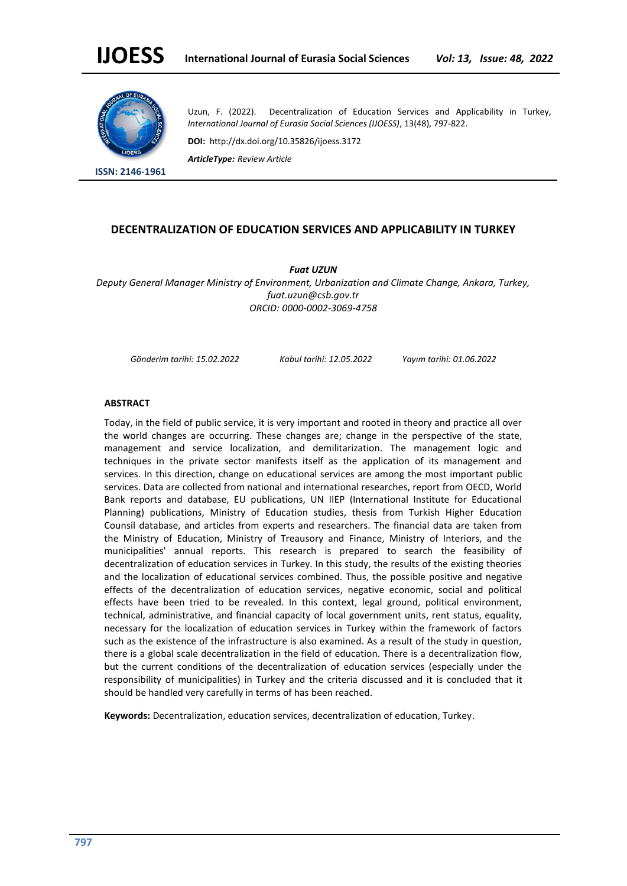

**ISSN: 2146-1961**

Uzun, F. (2022). Decentralization of Education Services and Applicability in Turkey, *International Journal of Eurasia Social Sciences (IJOESS)*, 13(48), 797-822.

**DOI:** http://dx.doi.org/10.35826/ijoess.3172

*ArticleType: Review Article*

## **DECENTRALIZATION OF EDUCATION SERVICES AND APPLICABILITY IN TURKEY**

*Fuat UZUN*

*Deputy General Manager Ministry of Environment, Urbanization and Climate Change, Ankara, Turkey, fuat.uzun@csb.gov.tr ORCID: 0000-0002-3069-4758*

*Gönderim tarihi: 15.02.2022 Kabul tarihi: 12.05.2022 Yayım tarihi: 01.06.2022*

### **ABSTRACT**

Today, in the field of public service, it is very important and rooted in theory and practice all over the world changes are occurring. These changes are; change in the perspective of the state, management and service localization, and demilitarization. The management logic and techniques in the private sector manifests itself as the application of its management and services. In this direction, change on educational services are among the most important public services. Data are collected from national and international researches, report from OECD, World Bank reports and database, EU publications, UN IIEP (International Institute for Educational Planning) publications, Ministry of Education studies, thesis from Turkish Higher Education Counsil database, and articles from experts and researchers. The financial data are taken from the Ministry of Education, Ministry of Treausory and Finance, Ministry of Interiors, and the municipalities' annual reports. This research is prepared to search the feasibility of decentralization of education services in Turkey. In this study, the results of the existing theories and the localization of educational services combined. Thus, the possible positive and negative effects of the decentralization of education services, negative economic, social and political effects have been tried to be revealed. In this context, legal ground, political environment, technical, administrative, and financial capacity of local government units, rent status, equality, necessary for the localization of education services in Turkey within the framework of factors such as the existence of the infrastructure is also examined. As a result of the study in question, there is a global scale decentralization in the field of education. There is a decentralization flow, but the current conditions of the decentralization of education services (especially under the responsibility of municipalities) in Turkey and the criteria discussed and it is concluded that it should be handled very carefully in terms of has been reached.

**Keywords:** Decentralization, education services, decentralization of education, Turkey.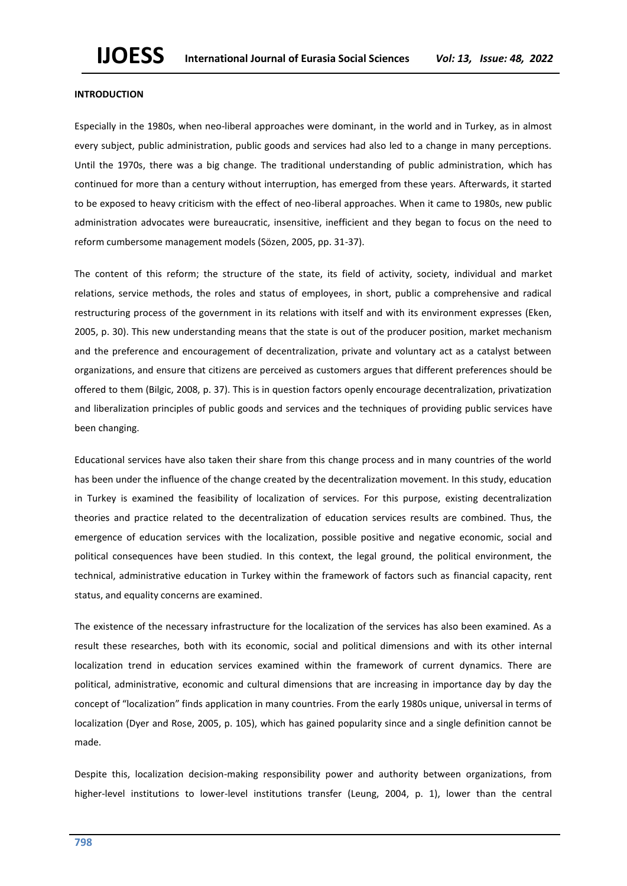### **INTRODUCTION**

Especially in the 1980s, when neo-liberal approaches were dominant, in the world and in Turkey, as in almost every subject, public administration, public goods and services had also led to a change in many perceptions. Until the 1970s, there was a big change. The traditional understanding of public administration, which has continued for more than a century without interruption, has emerged from these years. Afterwards, it started to be exposed to heavy criticism with the effect of neo-liberal approaches. When it came to 1980s, new public administration advocates were bureaucratic, insensitive, inefficient and they began to focus on the need to reform cumbersome management models (Sözen, 2005, pp. 31-37).

The content of this reform; the structure of the state, its field of activity, society, individual and market relations, service methods, the roles and status of employees, in short, public a comprehensive and radical restructuring process of the government in its relations with itself and with its environment expresses (Eken, 2005, p. 30). This new understanding means that the state is out of the producer position, market mechanism and the preference and encouragement of decentralization, private and voluntary act as a catalyst between organizations, and ensure that citizens are perceived as customers argues that different preferences should be offered to them (Bilgic, 2008, p. 37). This is in question factors openly encourage decentralization, privatization and liberalization principles of public goods and services and the techniques of providing public services have been changing.

Educational services have also taken their share from this change process and in many countries of the world has been under the influence of the change created by the decentralization movement. In this study, education in Turkey is examined the feasibility of localization of services. For this purpose, existing decentralization theories and practice related to the decentralization of education services results are combined. Thus, the emergence of education services with the localization, possible positive and negative economic, social and political consequences have been studied. In this context, the legal ground, the political environment, the technical, administrative education in Turkey within the framework of factors such as financial capacity, rent status, and equality concerns are examined.

The existence of the necessary infrastructure for the localization of the services has also been examined. As a result these researches, both with its economic, social and political dimensions and with its other internal localization trend in education services examined within the framework of current dynamics. There are political, administrative, economic and cultural dimensions that are increasing in importance day by day the concept of "localization" finds application in many countries. From the early 1980s unique, universal in terms of localization (Dyer and Rose, 2005, p. 105), which has gained popularity since and a single definition cannot be made.

Despite this, localization decision-making responsibility power and authority between organizations, from higher-level institutions to lower-level institutions transfer (Leung, 2004, p. 1), lower than the central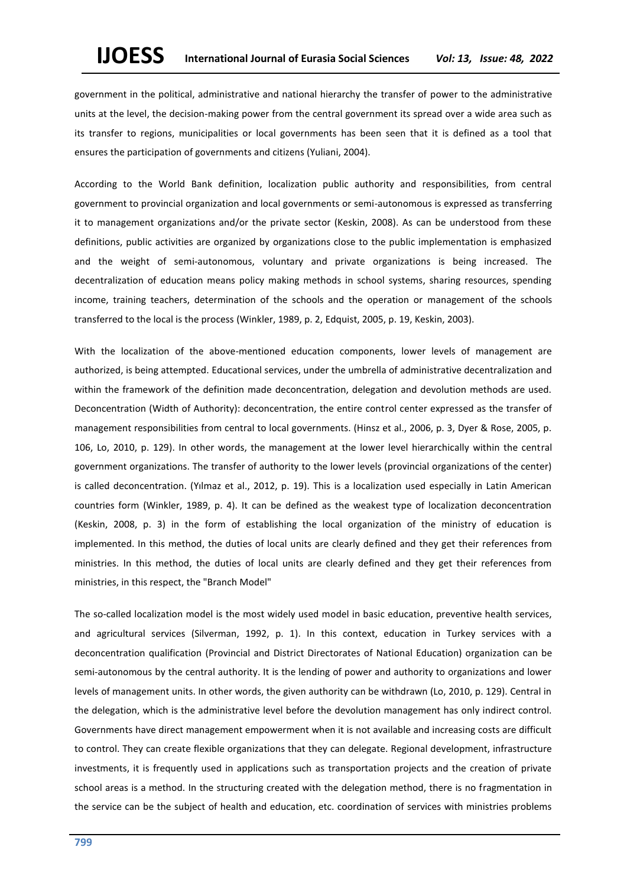government in the political, administrative and national hierarchy the transfer of power to the administrative units at the level, the decision-making power from the central government its spread over a wide area such as its transfer to regions, municipalities or local governments has been seen that it is defined as a tool that ensures the participation of governments and citizens (Yuliani, 2004).

According to the World Bank definition, localization public authority and responsibilities, from central government to provincial organization and local governments or semi-autonomous is expressed as transferring it to management organizations and/or the private sector (Keskin, 2008). As can be understood from these definitions, public activities are organized by organizations close to the public implementation is emphasized and the weight of semi-autonomous, voluntary and private organizations is being increased. The decentralization of education means policy making methods in school systems, sharing resources, spending income, training teachers, determination of the schools and the operation or management of the schools transferred to the local is the process (Winkler, 1989, p. 2, Edquist, 2005, p. 19, Keskin, 2003).

With the localization of the above-mentioned education components, lower levels of management are authorized, is being attempted. Educational services, under the umbrella of administrative decentralization and within the framework of the definition made deconcentration, delegation and devolution methods are used. Deconcentration (Width of Authority): deconcentration, the entire control center expressed as the transfer of management responsibilities from central to local governments. (Hinsz et al., 2006, p. 3, Dyer & Rose, 2005, p. 106, Lo, 2010, p. 129). In other words, the management at the lower level hierarchically within the central government organizations. The transfer of authority to the lower levels (provincial organizations of the center) is called deconcentration. (Yılmaz et al., 2012, p. 19). This is a localization used especially in Latin American countries form (Winkler, 1989, p. 4). It can be defined as the weakest type of localization deconcentration (Keskin, 2008, p. 3) in the form of establishing the local organization of the ministry of education is implemented. In this method, the duties of local units are clearly defined and they get their references from ministries. In this method, the duties of local units are clearly defined and they get their references from ministries, in this respect, the "Branch Model"

The so-called localization model is the most widely used model in basic education, preventive health services, and agricultural services (Silverman, 1992, p. 1). In this context, education in Turkey services with a deconcentration qualification (Provincial and District Directorates of National Education) organization can be semi-autonomous by the central authority. It is the lending of power and authority to organizations and lower levels of management units. In other words, the given authority can be withdrawn (Lo, 2010, p. 129). Central in the delegation, which is the administrative level before the devolution management has only indirect control. Governments have direct management empowerment when it is not available and increasing costs are difficult to control. They can create flexible organizations that they can delegate. Regional development, infrastructure investments, it is frequently used in applications such as transportation projects and the creation of private school areas is a method. In the structuring created with the delegation method, there is no fragmentation in the service can be the subject of health and education, etc. coordination of services with ministries problems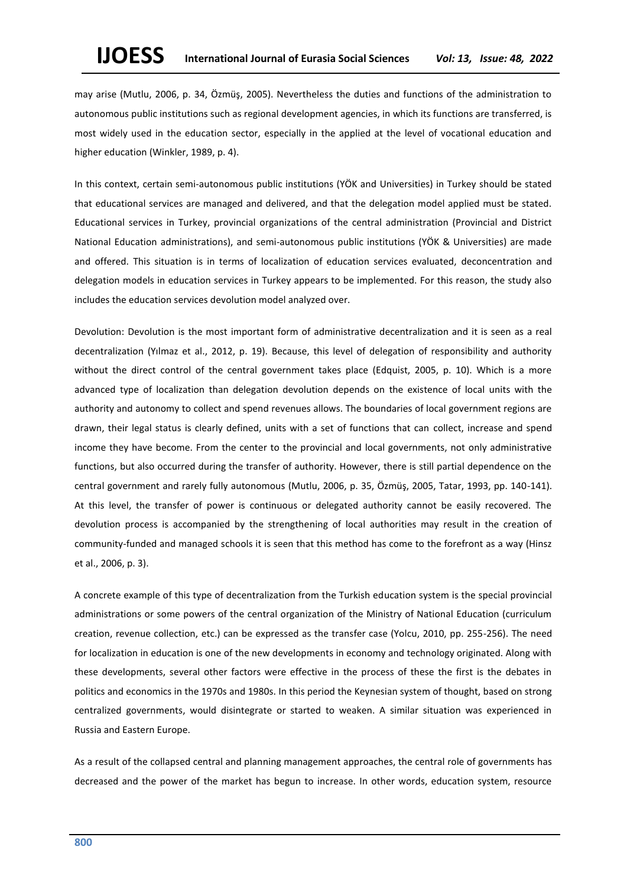# **IJOESS International Journal of Eurasia Social Sciences** *Vol: 13, Issue: 48, 2022*

may arise (Mutlu, 2006, p. 34, Özmüş, 2005). Nevertheless the duties and functions of the administration to autonomous public institutions such as regional development agencies, in which its functions are transferred, is most widely used in the education sector, especially in the applied at the level of vocational education and higher education (Winkler, 1989, p. 4).

In this context, certain semi-autonomous public institutions (YÖK and Universities) in Turkey should be stated that educational services are managed and delivered, and that the delegation model applied must be stated. Educational services in Turkey, provincial organizations of the central administration (Provincial and District National Education administrations), and semi-autonomous public institutions (YÖK & Universities) are made and offered. This situation is in terms of localization of education services evaluated, deconcentration and delegation models in education services in Turkey appears to be implemented. For this reason, the study also includes the education services devolution model analyzed over.

Devolution: Devolution is the most important form of administrative decentralization and it is seen as a real decentralization (Yılmaz et al., 2012, p. 19). Because, this level of delegation of responsibility and authority without the direct control of the central government takes place (Edquist, 2005, p. 10). Which is a more advanced type of localization than delegation devolution depends on the existence of local units with the authority and autonomy to collect and spend revenues allows. The boundaries of local government regions are drawn, their legal status is clearly defined, units with a set of functions that can collect, increase and spend income they have become. From the center to the provincial and local governments, not only administrative functions, but also occurred during the transfer of authority. However, there is still partial dependence on the central government and rarely fully autonomous (Mutlu, 2006, p. 35, Özmüş, 2005, Tatar, 1993, pp. 140-141). At this level, the transfer of power is continuous or delegated authority cannot be easily recovered. The devolution process is accompanied by the strengthening of local authorities may result in the creation of community-funded and managed schools it is seen that this method has come to the forefront as a way (Hinsz et al., 2006, p. 3).

A concrete example of this type of decentralization from the Turkish education system is the special provincial administrations or some powers of the central organization of the Ministry of National Education (curriculum creation, revenue collection, etc.) can be expressed as the transfer case (Yolcu, 2010, pp. 255-256). The need for localization in education is one of the new developments in economy and technology originated. Along with these developments, several other factors were effective in the process of these the first is the debates in politics and economics in the 1970s and 1980s. In this period the Keynesian system of thought, based on strong centralized governments, would disintegrate or started to weaken. A similar situation was experienced in Russia and Eastern Europe.

As a result of the collapsed central and planning management approaches, the central role of governments has decreased and the power of the market has begun to increase. In other words, education system, resource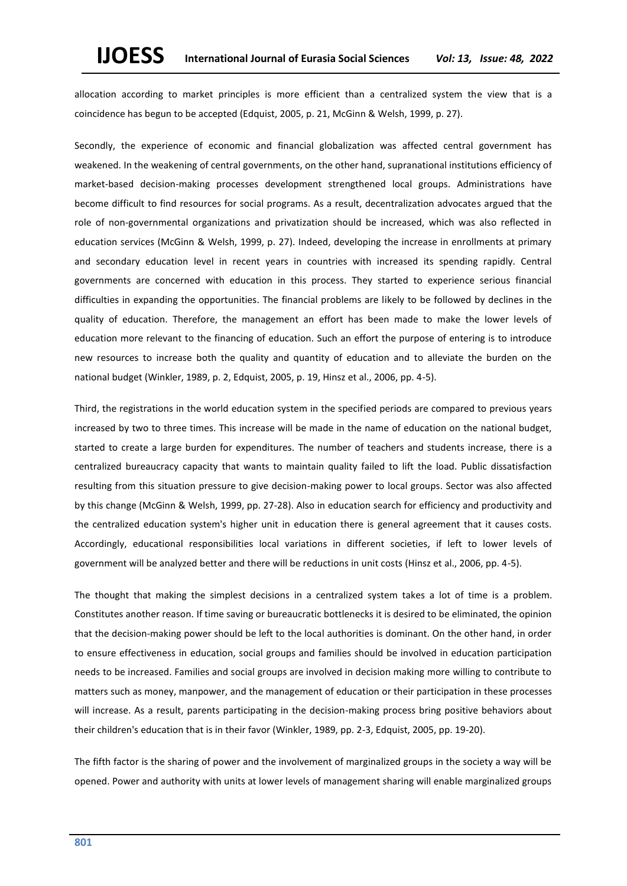allocation according to market principles is more efficient than a centralized system the view that is a coincidence has begun to be accepted (Edquist, 2005, p. 21, McGinn & Welsh, 1999, p. 27).

Secondly, the experience of economic and financial globalization was affected central government has weakened. In the weakening of central governments, on the other hand, supranational institutions efficiency of market-based decision-making processes development strengthened local groups. Administrations have become difficult to find resources for social programs. As a result, decentralization advocates argued that the role of non-governmental organizations and privatization should be increased, which was also reflected in education services (McGinn & Welsh, 1999, p. 27). Indeed, developing the increase in enrollments at primary and secondary education level in recent years in countries with increased its spending rapidly. Central governments are concerned with education in this process. They started to experience serious financial difficulties in expanding the opportunities. The financial problems are likely to be followed by declines in the quality of education. Therefore, the management an effort has been made to make the lower levels of education more relevant to the financing of education. Such an effort the purpose of entering is to introduce new resources to increase both the quality and quantity of education and to alleviate the burden on the national budget (Winkler, 1989, p. 2, Edquist, 2005, p. 19, Hinsz et al., 2006, pp. 4-5).

Third, the registrations in the world education system in the specified periods are compared to previous years increased by two to three times. This increase will be made in the name of education on the national budget, started to create a large burden for expenditures. The number of teachers and students increase, there is a centralized bureaucracy capacity that wants to maintain quality failed to lift the load. Public dissatisfaction resulting from this situation pressure to give decision-making power to local groups. Sector was also affected by this change (McGinn & Welsh, 1999, pp. 27-28). Also in education search for efficiency and productivity and the centralized education system's higher unit in education there is general agreement that it causes costs. Accordingly, educational responsibilities local variations in different societies, if left to lower levels of government will be analyzed better and there will be reductions in unit costs (Hinsz et al., 2006, pp. 4-5).

The thought that making the simplest decisions in a centralized system takes a lot of time is a problem. Constitutes another reason. If time saving or bureaucratic bottlenecks it is desired to be eliminated, the opinion that the decision-making power should be left to the local authorities is dominant. On the other hand, in order to ensure effectiveness in education, social groups and families should be involved in education participation needs to be increased. Families and social groups are involved in decision making more willing to contribute to matters such as money, manpower, and the management of education or their participation in these processes will increase. As a result, parents participating in the decision-making process bring positive behaviors about their children's education that is in their favor (Winkler, 1989, pp. 2-3, Edquist, 2005, pp. 19-20).

The fifth factor is the sharing of power and the involvement of marginalized groups in the society a way will be opened. Power and authority with units at lower levels of management sharing will enable marginalized groups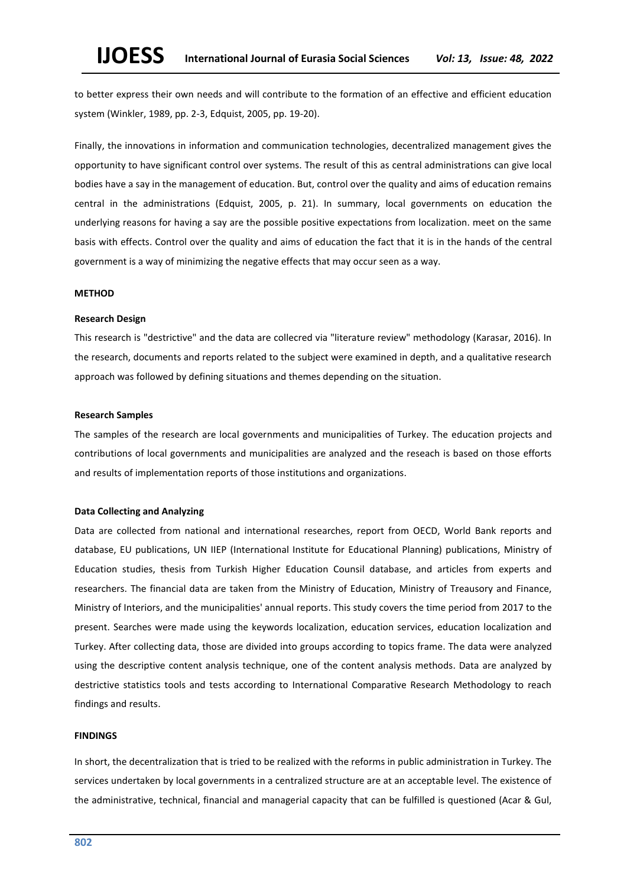to better express their own needs and will contribute to the formation of an effective and efficient education system (Winkler, 1989, pp. 2-3, Edquist, 2005, pp. 19-20).

Finally, the innovations in information and communication technologies, decentralized management gives the opportunity to have significant control over systems. The result of this as central administrations can give local bodies have a say in the management of education. But, control over the quality and aims of education remains central in the administrations (Edquist, 2005, p. 21). In summary, local governments on education the underlying reasons for having a say are the possible positive expectations from localization. meet on the same basis with effects. Control over the quality and aims of education the fact that it is in the hands of the central government is a way of minimizing the negative effects that may occur seen as a way.

## **METHOD**

### **Research Design**

This research is "destrictive" and the data are collecred via "literature review" methodology (Karasar, 2016). In the research, documents and reports related to the subject were examined in depth, and a qualitative research approach was followed by defining situations and themes depending on the situation.

#### **Research Samples**

The samples of the research are local governments and municipalities of Turkey. The education projects and contributions of local governments and municipalities are analyzed and the reseach is based on those efforts and results of implementation reports of those institutions and organizations.

## **Data Collecting and Analyzing**

Data are collected from national and international researches, report from OECD, World Bank reports and database, EU publications, UN IIEP (International Institute for Educational Planning) publications, Ministry of Education studies, thesis from Turkish Higher Education Counsil database, and articles from experts and researchers. The financial data are taken from the Ministry of Education, Ministry of Treausory and Finance, Ministry of Interiors, and the municipalities' annual reports. This study covers the time period from 2017 to the present. Searches were made using the keywords localization, education services, education localization and Turkey. After collecting data, those are divided into groups according to topics frame. The data were analyzed using the descriptive content analysis technique, one of the content analysis methods. Data are analyzed by destrictive statistics tools and tests according to International Comparative Research Methodology to reach findings and results.

## **FINDINGS**

In short, the decentralization that is tried to be realized with the reforms in public administration in Turkey. The services undertaken by local governments in a centralized structure are at an acceptable level. The existence of the administrative, technical, financial and managerial capacity that can be fulfilled is questioned (Acar & Gul,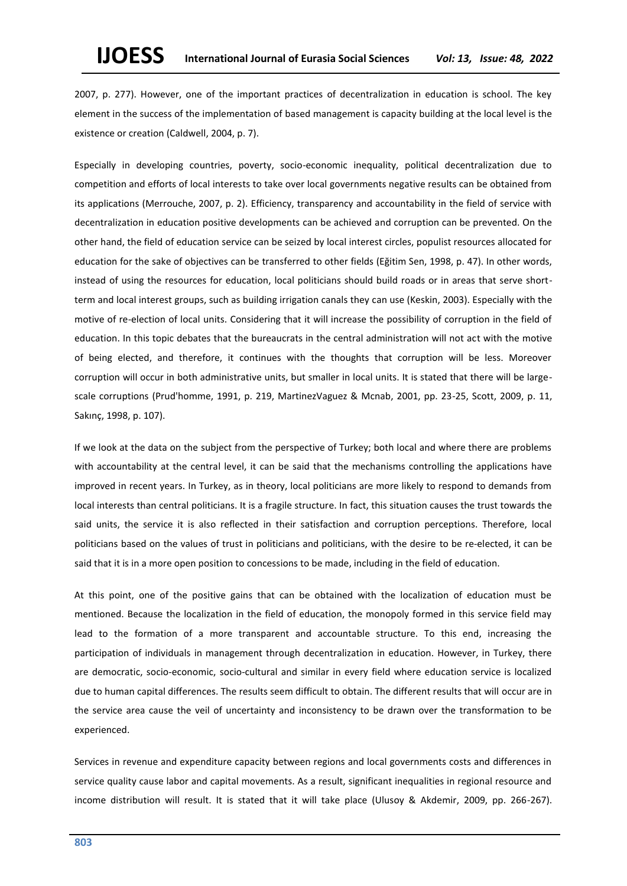2007, p. 277). However, one of the important practices of decentralization in education is school. The key element in the success of the implementation of based management is capacity building at the local level is the existence or creation (Caldwell, 2004, p. 7).

Especially in developing countries, poverty, socio-economic inequality, political decentralization due to competition and efforts of local interests to take over local governments negative results can be obtained from its applications (Merrouche, 2007, p. 2). Efficiency, transparency and accountability in the field of service with decentralization in education positive developments can be achieved and corruption can be prevented. On the other hand, the field of education service can be seized by local interest circles, populist resources allocated for education for the sake of objectives can be transferred to other fields (Eğitim Sen, 1998, p. 47). In other words, instead of using the resources for education, local politicians should build roads or in areas that serve shortterm and local interest groups, such as building irrigation canals they can use (Keskin, 2003). Especially with the motive of re-election of local units. Considering that it will increase the possibility of corruption in the field of education. In this topic debates that the bureaucrats in the central administration will not act with the motive of being elected, and therefore, it continues with the thoughts that corruption will be less. Moreover corruption will occur in both administrative units, but smaller in local units. It is stated that there will be largescale corruptions (Prud'homme, 1991, p. 219, MartinezVaguez & Mcnab, 2001, pp. 23-25, Scott, 2009, p. 11, Sakınç, 1998, p. 107).

If we look at the data on the subject from the perspective of Turkey; both local and where there are problems with accountability at the central level, it can be said that the mechanisms controlling the applications have improved in recent years. In Turkey, as in theory, local politicians are more likely to respond to demands from local interests than central politicians. It is a fragile structure. In fact, this situation causes the trust towards the said units, the service it is also reflected in their satisfaction and corruption perceptions. Therefore, local politicians based on the values of trust in politicians and politicians, with the desire to be re-elected, it can be said that it is in a more open position to concessions to be made, including in the field of education.

At this point, one of the positive gains that can be obtained with the localization of education must be mentioned. Because the localization in the field of education, the monopoly formed in this service field may lead to the formation of a more transparent and accountable structure. To this end, increasing the participation of individuals in management through decentralization in education. However, in Turkey, there are democratic, socio-economic, socio-cultural and similar in every field where education service is localized due to human capital differences. The results seem difficult to obtain. The different results that will occur are in the service area cause the veil of uncertainty and inconsistency to be drawn over the transformation to be experienced.

Services in revenue and expenditure capacity between regions and local governments costs and differences in service quality cause labor and capital movements. As a result, significant inequalities in regional resource and income distribution will result. It is stated that it will take place (Ulusoy & Akdemir, 2009, pp. 266-267).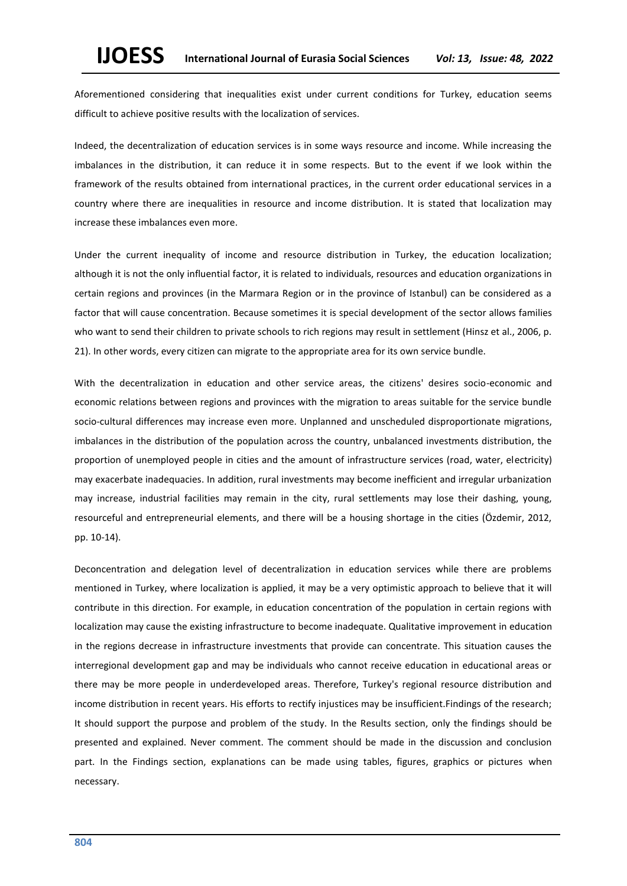Aforementioned considering that inequalities exist under current conditions for Turkey, education seems difficult to achieve positive results with the localization of services.

Indeed, the decentralization of education services is in some ways resource and income. While increasing the imbalances in the distribution, it can reduce it in some respects. But to the event if we look within the framework of the results obtained from international practices, in the current order educational services in a country where there are inequalities in resource and income distribution. It is stated that localization may increase these imbalances even more.

Under the current inequality of income and resource distribution in Turkey, the education localization; although it is not the only influential factor, it is related to individuals, resources and education organizations in certain regions and provinces (in the Marmara Region or in the province of Istanbul) can be considered as a factor that will cause concentration. Because sometimes it is special development of the sector allows families who want to send their children to private schools to rich regions may result in settlement (Hinsz et al., 2006, p. 21). In other words, every citizen can migrate to the appropriate area for its own service bundle.

With the decentralization in education and other service areas, the citizens' desires socio-economic and economic relations between regions and provinces with the migration to areas suitable for the service bundle socio-cultural differences may increase even more. Unplanned and unscheduled disproportionate migrations, imbalances in the distribution of the population across the country, unbalanced investments distribution, the proportion of unemployed people in cities and the amount of infrastructure services (road, water, electricity) may exacerbate inadequacies. In addition, rural investments may become inefficient and irregular urbanization may increase, industrial facilities may remain in the city, rural settlements may lose their dashing, young, resourceful and entrepreneurial elements, and there will be a housing shortage in the cities (Özdemir, 2012, pp. 10-14).

Deconcentration and delegation level of decentralization in education services while there are problems mentioned in Turkey, where localization is applied, it may be a very optimistic approach to believe that it will contribute in this direction. For example, in education concentration of the population in certain regions with localization may cause the existing infrastructure to become inadequate. Qualitative improvement in education in the regions decrease in infrastructure investments that provide can concentrate. This situation causes the interregional development gap and may be individuals who cannot receive education in educational areas or there may be more people in underdeveloped areas. Therefore, Turkey's regional resource distribution and income distribution in recent years. His efforts to rectify injustices may be insufficient.Findings of the research; It should support the purpose and problem of the study. In the Results section, only the findings should be presented and explained. Never comment. The comment should be made in the discussion and conclusion part. In the Findings section, explanations can be made using tables, figures, graphics or pictures when necessary.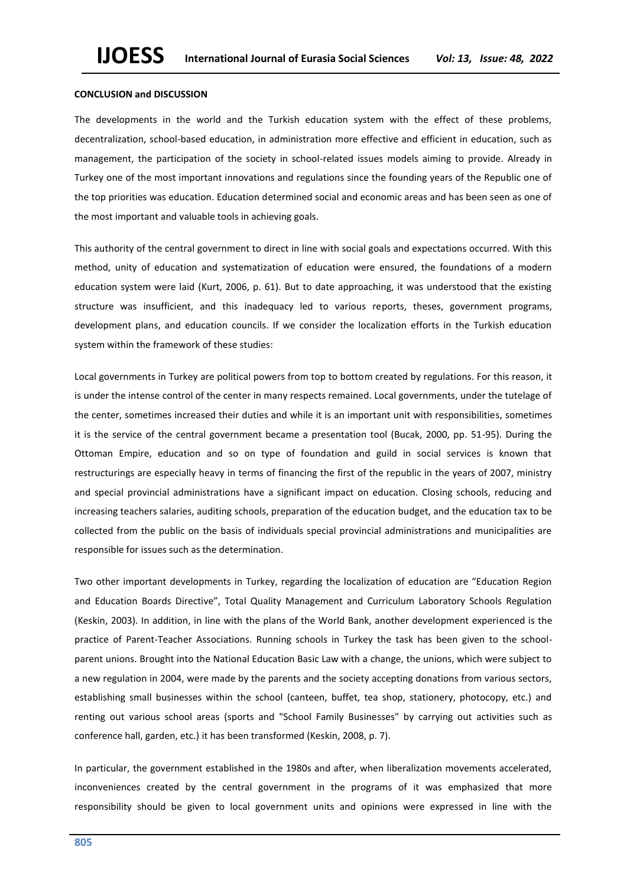#### **CONCLUSION and DISCUSSION**

The developments in the world and the Turkish education system with the effect of these problems, decentralization, school-based education, in administration more effective and efficient in education, such as management, the participation of the society in school-related issues models aiming to provide. Already in Turkey one of the most important innovations and regulations since the founding years of the Republic one of the top priorities was education. Education determined social and economic areas and has been seen as one of the most important and valuable tools in achieving goals.

This authority of the central government to direct in line with social goals and expectations occurred. With this method, unity of education and systematization of education were ensured, the foundations of a modern education system were laid (Kurt, 2006, p. 61). But to date approaching, it was understood that the existing structure was insufficient, and this inadequacy led to various reports, theses, government programs, development plans, and education councils. If we consider the localization efforts in the Turkish education system within the framework of these studies:

Local governments in Turkey are political powers from top to bottom created by regulations. For this reason, it is under the intense control of the center in many respects remained. Local governments, under the tutelage of the center, sometimes increased their duties and while it is an important unit with responsibilities, sometimes it is the service of the central government became a presentation tool (Bucak, 2000, pp. 51-95). During the Ottoman Empire, education and so on type of foundation and guild in social services is known that restructurings are especially heavy in terms of financing the first of the republic in the years of 2007, ministry and special provincial administrations have a significant impact on education. Closing schools, reducing and increasing teachers salaries, auditing schools, preparation of the education budget, and the education tax to be collected from the public on the basis of individuals special provincial administrations and municipalities are responsible for issues such as the determination.

Two other important developments in Turkey, regarding the localization of education are "Education Region and Education Boards Directive", Total Quality Management and Curriculum Laboratory Schools Regulation (Keskin, 2003). In addition, in line with the plans of the World Bank, another development experienced is the practice of Parent-Teacher Associations. Running schools in Turkey the task has been given to the schoolparent unions. Brought into the National Education Basic Law with a change, the unions, which were subject to a new regulation in 2004, were made by the parents and the society accepting donations from various sectors, establishing small businesses within the school (canteen, buffet, tea shop, stationery, photocopy, etc.) and renting out various school areas (sports and "School Family Businesses" by carrying out activities such as conference hall, garden, etc.) it has been transformed (Keskin, 2008, p. 7).

In particular, the government established in the 1980s and after, when liberalization movements accelerated, inconveniences created by the central government in the programs of it was emphasized that more responsibility should be given to local government units and opinions were expressed in line with the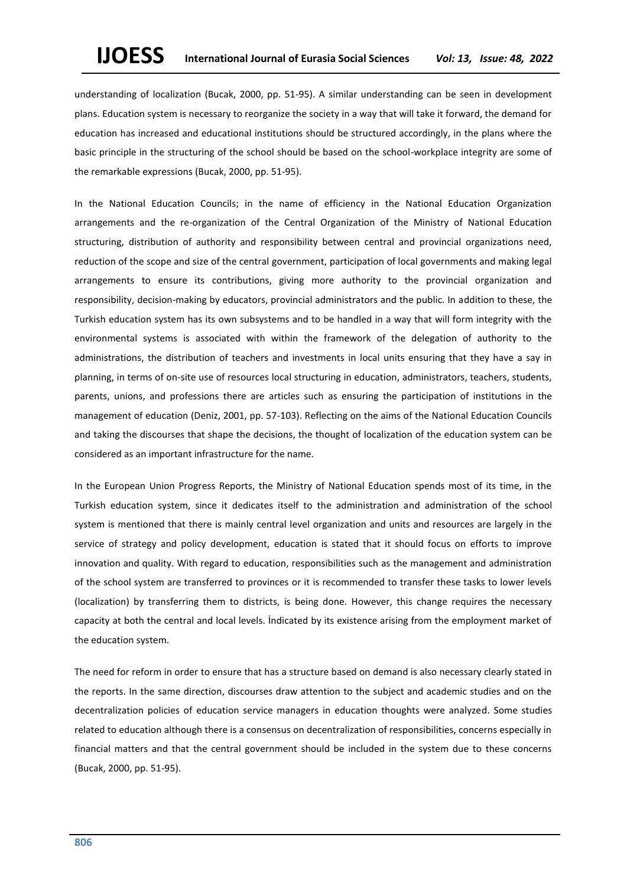understanding of localization (Bucak, 2000, pp. 51-95). A similar understanding can be seen in development plans. Education system is necessary to reorganize the society in a way that will take it forward, the demand for education has increased and educational institutions should be structured accordingly, in the plans where the basic principle in the structuring of the school should be based on the school-workplace integrity are some of the remarkable expressions (Bucak, 2000, pp. 51-95).

In the National Education Councils; in the name of efficiency in the National Education Organization arrangements and the re-organization of the Central Organization of the Ministry of National Education structuring, distribution of authority and responsibility between central and provincial organizations need, reduction of the scope and size of the central government, participation of local governments and making legal arrangements to ensure its contributions, giving more authority to the provincial organization and responsibility, decision-making by educators, provincial administrators and the public. In addition to these, the Turkish education system has its own subsystems and to be handled in a way that will form integrity with the environmental systems is associated with within the framework of the delegation of authority to the administrations, the distribution of teachers and investments in local units ensuring that they have a say in planning, in terms of on-site use of resources local structuring in education, administrators, teachers, students, parents, unions, and professions there are articles such as ensuring the participation of institutions in the management of education (Deniz, 2001, pp. 57-103). Reflecting on the aims of the National Education Councils and taking the discourses that shape the decisions, the thought of localization of the education system can be considered as an important infrastructure for the name.

In the European Union Progress Reports, the Ministry of National Education spends most of its time, in the Turkish education system, since it dedicates itself to the administration and administration of the school system is mentioned that there is mainly central level organization and units and resources are largely in the service of strategy and policy development, education is stated that it should focus on efforts to improve innovation and quality. With regard to education, responsibilities such as the management and administration of the school system are transferred to provinces or it is recommended to transfer these tasks to lower levels (localization) by transferring them to districts, is being done. However, this change requires the necessary capacity at both the central and local levels. İndicated by its existence arising from the employment market of the education system.

The need for reform in order to ensure that has a structure based on demand is also necessary clearly stated in the reports. In the same direction, discourses draw attention to the subject and academic studies and on the decentralization policies of education service managers in education thoughts were analyzed. Some studies related to education although there is a consensus on decentralization of responsibilities, concerns especially in financial matters and that the central government should be included in the system due to these concerns (Bucak, 2000, pp. 51-95).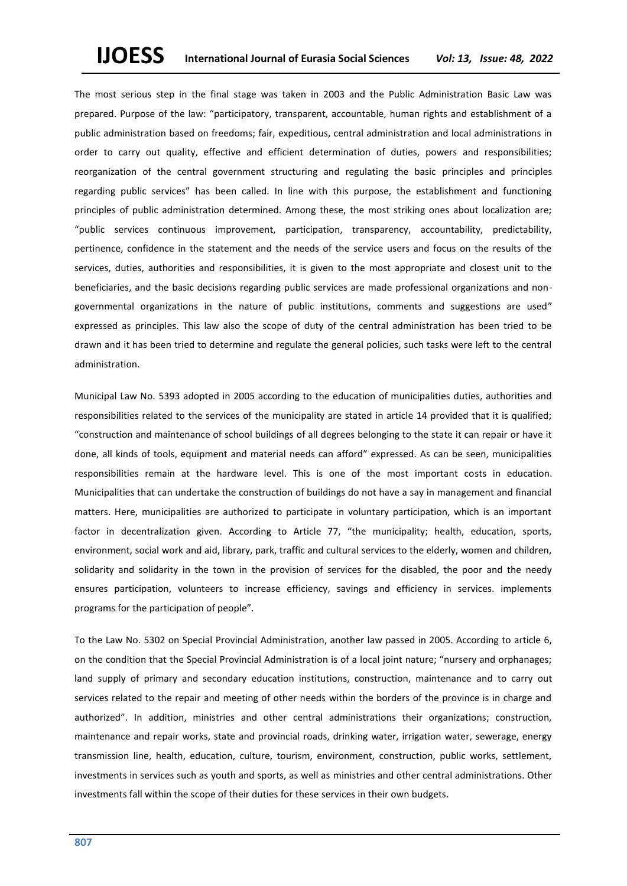The most serious step in the final stage was taken in 2003 and the Public Administration Basic Law was prepared. Purpose of the law: "participatory, transparent, accountable, human rights and establishment of a public administration based on freedoms; fair, expeditious, central administration and local administrations in order to carry out quality, effective and efficient determination of duties, powers and responsibilities; reorganization of the central government structuring and regulating the basic principles and principles regarding public services" has been called. In line with this purpose, the establishment and functioning principles of public administration determined. Among these, the most striking ones about localization are; "public services continuous improvement, participation, transparency, accountability, predictability, pertinence, confidence in the statement and the needs of the service users and focus on the results of the services, duties, authorities and responsibilities, it is given to the most appropriate and closest unit to the beneficiaries, and the basic decisions regarding public services are made professional organizations and nongovernmental organizations in the nature of public institutions, comments and suggestions are used" expressed as principles. This law also the scope of duty of the central administration has been tried to be drawn and it has been tried to determine and regulate the general policies, such tasks were left to the central administration.

Municipal Law No. 5393 adopted in 2005 according to the education of municipalities duties, authorities and responsibilities related to the services of the municipality are stated in article 14 provided that it is qualified; "construction and maintenance of school buildings of all degrees belonging to the state it can repair or have it done, all kinds of tools, equipment and material needs can afford" expressed. As can be seen, municipalities responsibilities remain at the hardware level. This is one of the most important costs in education. Municipalities that can undertake the construction of buildings do not have a say in management and financial matters. Here, municipalities are authorized to participate in voluntary participation, which is an important factor in decentralization given. According to Article 77, "the municipality; health, education, sports, environment, social work and aid, library, park, traffic and cultural services to the elderly, women and children, solidarity and solidarity in the town in the provision of services for the disabled, the poor and the needy ensures participation, volunteers to increase efficiency, savings and efficiency in services. implements programs for the participation of people".

To the Law No. 5302 on Special Provincial Administration, another law passed in 2005. According to article 6, on the condition that the Special Provincial Administration is of a local joint nature; "nursery and orphanages; land supply of primary and secondary education institutions, construction, maintenance and to carry out services related to the repair and meeting of other needs within the borders of the province is in charge and authorized". In addition, ministries and other central administrations their organizations; construction, maintenance and repair works, state and provincial roads, drinking water, irrigation water, sewerage, energy transmission line, health, education, culture, tourism, environment, construction, public works, settlement, investments in services such as youth and sports, as well as ministries and other central administrations. Other investments fall within the scope of their duties for these services in their own budgets.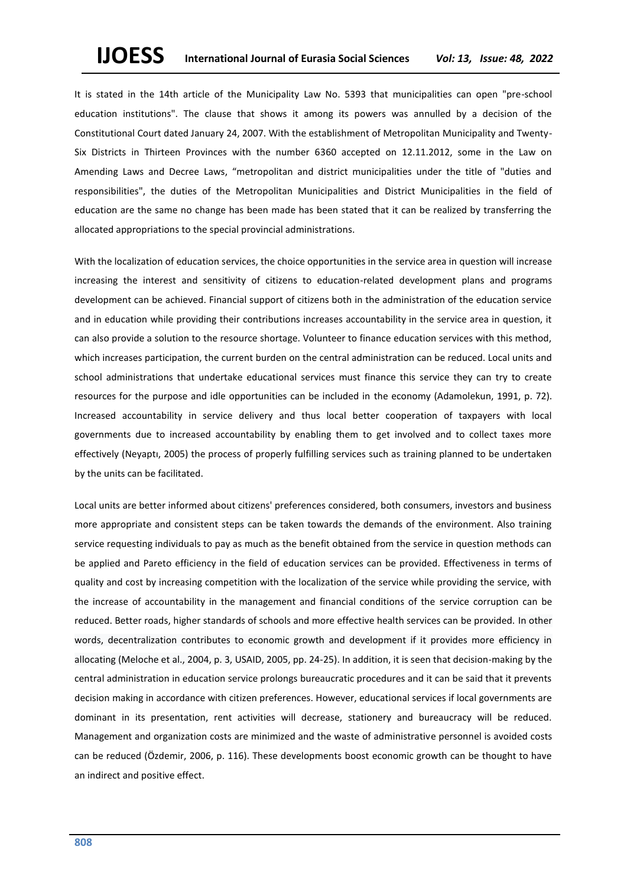It is stated in the 14th article of the Municipality Law No. 5393 that municipalities can open "pre-school education institutions". The clause that shows it among its powers was annulled by a decision of the Constitutional Court dated January 24, 2007. With the establishment of Metropolitan Municipality and Twenty-Six Districts in Thirteen Provinces with the number 6360 accepted on 12.11.2012, some in the Law on Amending Laws and Decree Laws, "metropolitan and district municipalities under the title of "duties and responsibilities", the duties of the Metropolitan Municipalities and District Municipalities in the field of education are the same no change has been made has been stated that it can be realized by transferring the allocated appropriations to the special provincial administrations.

With the localization of education services, the choice opportunities in the service area in question will increase increasing the interest and sensitivity of citizens to education-related development plans and programs development can be achieved. Financial support of citizens both in the administration of the education service and in education while providing their contributions increases accountability in the service area in question, it can also provide a solution to the resource shortage. Volunteer to finance education services with this method, which increases participation, the current burden on the central administration can be reduced. Local units and school administrations that undertake educational services must finance this service they can try to create resources for the purpose and idle opportunities can be included in the economy (Adamolekun, 1991, p. 72). Increased accountability in service delivery and thus local better cooperation of taxpayers with local governments due to increased accountability by enabling them to get involved and to collect taxes more effectively (Neyaptı, 2005) the process of properly fulfilling services such as training planned to be undertaken by the units can be facilitated.

Local units are better informed about citizens' preferences considered, both consumers, investors and business more appropriate and consistent steps can be taken towards the demands of the environment. Also training service requesting individuals to pay as much as the benefit obtained from the service in question methods can be applied and Pareto efficiency in the field of education services can be provided. Effectiveness in terms of quality and cost by increasing competition with the localization of the service while providing the service, with the increase of accountability in the management and financial conditions of the service corruption can be reduced. Better roads, higher standards of schools and more effective health services can be provided. In other words, decentralization contributes to economic growth and development if it provides more efficiency in allocating (Meloche et al., 2004, p. 3, USAID, 2005, pp. 24-25). In addition, it is seen that decision-making by the central administration in education service prolongs bureaucratic procedures and it can be said that it prevents decision making in accordance with citizen preferences. However, educational services if local governments are dominant in its presentation, rent activities will decrease, stationery and bureaucracy will be reduced. Management and organization costs are minimized and the waste of administrative personnel is avoided costs can be reduced (Özdemir, 2006, p. 116). These developments boost economic growth can be thought to have an indirect and positive effect.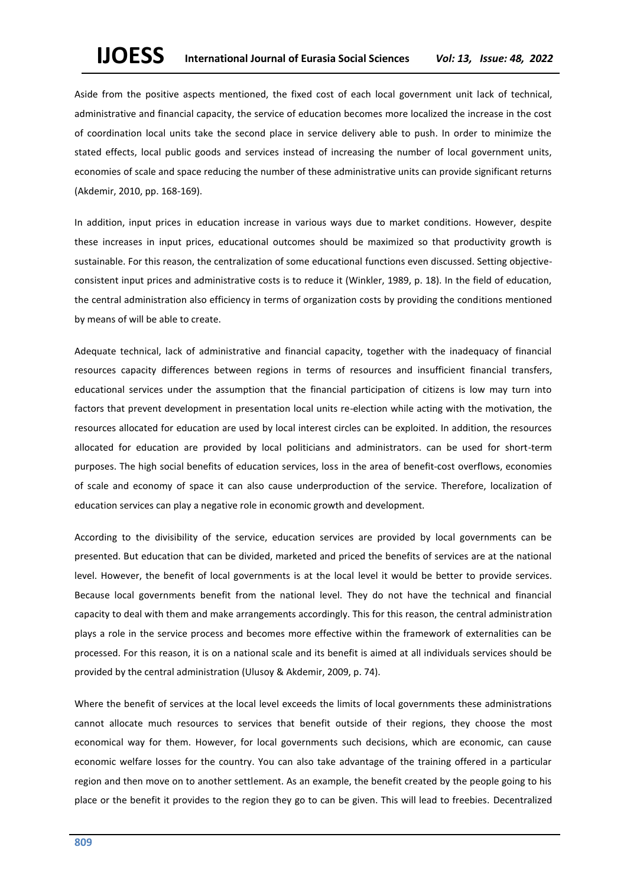Aside from the positive aspects mentioned, the fixed cost of each local government unit lack of technical, administrative and financial capacity, the service of education becomes more localized the increase in the cost of coordination local units take the second place in service delivery able to push. In order to minimize the stated effects, local public goods and services instead of increasing the number of local government units, economies of scale and space reducing the number of these administrative units can provide significant returns (Akdemir, 2010, pp. 168-169).

In addition, input prices in education increase in various ways due to market conditions. However, despite these increases in input prices, educational outcomes should be maximized so that productivity growth is sustainable. For this reason, the centralization of some educational functions even discussed. Setting objectiveconsistent input prices and administrative costs is to reduce it (Winkler, 1989, p. 18). In the field of education, the central administration also efficiency in terms of organization costs by providing the conditions mentioned by means of will be able to create.

Adequate technical, lack of administrative and financial capacity, together with the inadequacy of financial resources capacity differences between regions in terms of resources and insufficient financial transfers, educational services under the assumption that the financial participation of citizens is low may turn into factors that prevent development in presentation local units re-election while acting with the motivation, the resources allocated for education are used by local interest circles can be exploited. In addition, the resources allocated for education are provided by local politicians and administrators. can be used for short-term purposes. The high social benefits of education services, loss in the area of benefit-cost overflows, economies of scale and economy of space it can also cause underproduction of the service. Therefore, localization of education services can play a negative role in economic growth and development.

According to the divisibility of the service, education services are provided by local governments can be presented. But education that can be divided, marketed and priced the benefits of services are at the national level. However, the benefit of local governments is at the local level it would be better to provide services. Because local governments benefit from the national level. They do not have the technical and financial capacity to deal with them and make arrangements accordingly. This for this reason, the central administration plays a role in the service process and becomes more effective within the framework of externalities can be processed. For this reason, it is on a national scale and its benefit is aimed at all individuals services should be provided by the central administration (Ulusoy & Akdemir, 2009, p. 74).

Where the benefit of services at the local level exceeds the limits of local governments these administrations cannot allocate much resources to services that benefit outside of their regions, they choose the most economical way for them. However, for local governments such decisions, which are economic, can cause economic welfare losses for the country. You can also take advantage of the training offered in a particular region and then move on to another settlement. As an example, the benefit created by the people going to his place or the benefit it provides to the region they go to can be given. This will lead to freebies. Decentralized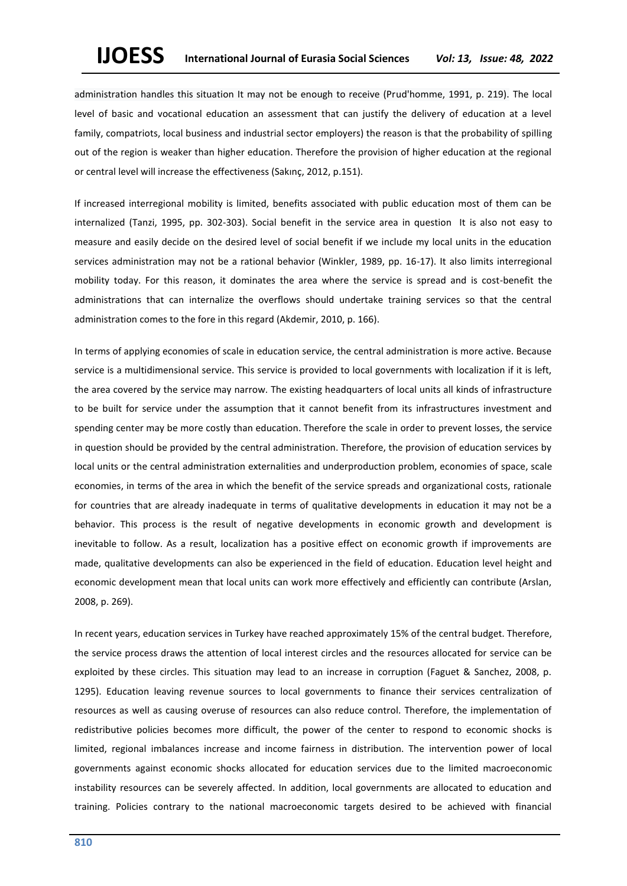administration handles this situation It may not be enough to receive (Prud'homme, 1991, p. 219). The local level of basic and vocational education an assessment that can justify the delivery of education at a level family, compatriots, local business and industrial sector employers) the reason is that the probability of spilling out of the region is weaker than higher education. Therefore the provision of higher education at the regional or central level will increase the effectiveness (Sakınç, 2012, p.151).

If increased interregional mobility is limited, benefits associated with public education most of them can be internalized (Tanzi, 1995, pp. 302-303). Social benefit in the service area in question It is also not easy to measure and easily decide on the desired level of social benefit if we include my local units in the education services administration may not be a rational behavior (Winkler, 1989, pp. 16-17). It also limits interregional mobility today. For this reason, it dominates the area where the service is spread and is cost-benefit the administrations that can internalize the overflows should undertake training services so that the central administration comes to the fore in this regard (Akdemir, 2010, p. 166).

In terms of applying economies of scale in education service, the central administration is more active. Because service is a multidimensional service. This service is provided to local governments with localization if it is left, the area covered by the service may narrow. The existing headquarters of local units all kinds of infrastructure to be built for service under the assumption that it cannot benefit from its infrastructures investment and spending center may be more costly than education. Therefore the scale in order to prevent losses, the service in question should be provided by the central administration. Therefore, the provision of education services by local units or the central administration externalities and underproduction problem, economies of space, scale economies, in terms of the area in which the benefit of the service spreads and organizational costs, rationale for countries that are already inadequate in terms of qualitative developments in education it may not be a behavior. This process is the result of negative developments in economic growth and development is inevitable to follow. As a result, localization has a positive effect on economic growth if improvements are made, qualitative developments can also be experienced in the field of education. Education level height and economic development mean that local units can work more effectively and efficiently can contribute (Arslan, 2008, p. 269).

In recent years, education services in Turkey have reached approximately 15% of the central budget. Therefore, the service process draws the attention of local interest circles and the resources allocated for service can be exploited by these circles. This situation may lead to an increase in corruption (Faguet & Sanchez, 2008, p. 1295). Education leaving revenue sources to local governments to finance their services centralization of resources as well as causing overuse of resources can also reduce control. Therefore, the implementation of redistributive policies becomes more difficult, the power of the center to respond to economic shocks is limited, regional imbalances increase and income fairness in distribution. The intervention power of local governments against economic shocks allocated for education services due to the limited macroeconomic instability resources can be severely affected. In addition, local governments are allocated to education and training. Policies contrary to the national macroeconomic targets desired to be achieved with financial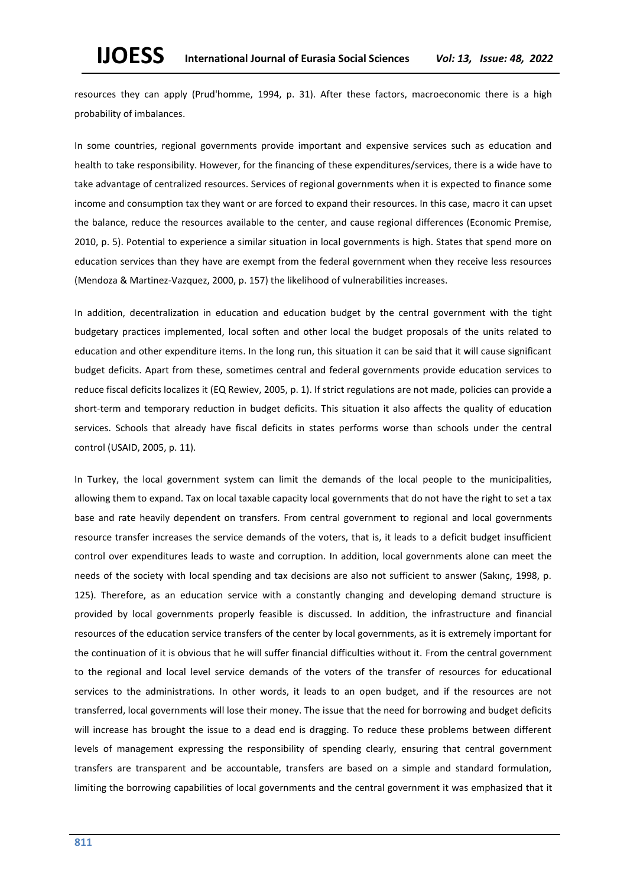resources they can apply (Prud'homme, 1994, p. 31). After these factors, macroeconomic there is a high probability of imbalances.

In some countries, regional governments provide important and expensive services such as education and health to take responsibility. However, for the financing of these expenditures/services, there is a wide have to take advantage of centralized resources. Services of regional governments when it is expected to finance some income and consumption tax they want or are forced to expand their resources. In this case, macro it can upset the balance, reduce the resources available to the center, and cause regional differences (Economic Premise, 2010, p. 5). Potential to experience a similar situation in local governments is high. States that spend more on education services than they have are exempt from the federal government when they receive less resources (Mendoza & Martinez-Vazquez, 2000, p. 157) the likelihood of vulnerabilities increases.

In addition, decentralization in education and education budget by the central government with the tight budgetary practices implemented, local soften and other local the budget proposals of the units related to education and other expenditure items. In the long run, this situation it can be said that it will cause significant budget deficits. Apart from these, sometimes central and federal governments provide education services to reduce fiscal deficits localizes it (EQ Rewiev, 2005, p. 1). If strict regulations are not made, policies can provide a short-term and temporary reduction in budget deficits. This situation it also affects the quality of education services. Schools that already have fiscal deficits in states performs worse than schools under the central control (USAID, 2005, p. 11).

In Turkey, the local government system can limit the demands of the local people to the municipalities, allowing them to expand. Tax on local taxable capacity local governments that do not have the right to set a tax base and rate heavily dependent on transfers. From central government to regional and local governments resource transfer increases the service demands of the voters, that is, it leads to a deficit budget insufficient control over expenditures leads to waste and corruption. In addition, local governments alone can meet the needs of the society with local spending and tax decisions are also not sufficient to answer (Sakınç, 1998, p. 125). Therefore, as an education service with a constantly changing and developing demand structure is provided by local governments properly feasible is discussed. In addition, the infrastructure and financial resources of the education service transfers of the center by local governments, as it is extremely important for the continuation of it is obvious that he will suffer financial difficulties without it. From the central government to the regional and local level service demands of the voters of the transfer of resources for educational services to the administrations. In other words, it leads to an open budget, and if the resources are not transferred, local governments will lose their money. The issue that the need for borrowing and budget deficits will increase has brought the issue to a dead end is dragging. To reduce these problems between different levels of management expressing the responsibility of spending clearly, ensuring that central government transfers are transparent and be accountable, transfers are based on a simple and standard formulation, limiting the borrowing capabilities of local governments and the central government it was emphasized that it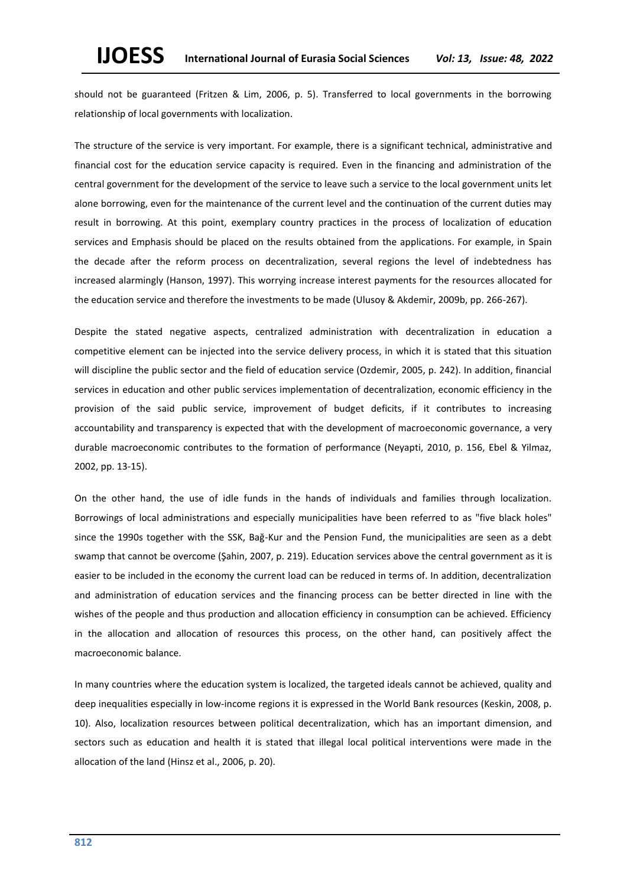should not be guaranteed (Fritzen & Lim, 2006, p. 5). Transferred to local governments in the borrowing relationship of local governments with localization.

The structure of the service is very important. For example, there is a significant technical, administrative and financial cost for the education service capacity is required. Even in the financing and administration of the central government for the development of the service to leave such a service to the local government units let alone borrowing, even for the maintenance of the current level and the continuation of the current duties may result in borrowing. At this point, exemplary country practices in the process of localization of education services and Emphasis should be placed on the results obtained from the applications. For example, in Spain the decade after the reform process on decentralization, several regions the level of indebtedness has increased alarmingly (Hanson, 1997). This worrying increase interest payments for the resources allocated for the education service and therefore the investments to be made (Ulusoy & Akdemir, 2009b, pp. 266-267).

Despite the stated negative aspects, centralized administration with decentralization in education a competitive element can be injected into the service delivery process, in which it is stated that this situation will discipline the public sector and the field of education service (Ozdemir, 2005, p. 242). In addition, financial services in education and other public services implementation of decentralization, economic efficiency in the provision of the said public service, improvement of budget deficits, if it contributes to increasing accountability and transparency is expected that with the development of macroeconomic governance, a very durable macroeconomic contributes to the formation of performance (Neyapti, 2010, p. 156, Ebel & Yilmaz, 2002, pp. 13-15).

On the other hand, the use of idle funds in the hands of individuals and families through localization. Borrowings of local administrations and especially municipalities have been referred to as "five black holes" since the 1990s together with the SSK, Bağ-Kur and the Pension Fund, the municipalities are seen as a debt swamp that cannot be overcome (Şahin, 2007, p. 219). Education services above the central government as it is easier to be included in the economy the current load can be reduced in terms of. In addition, decentralization and administration of education services and the financing process can be better directed in line with the wishes of the people and thus production and allocation efficiency in consumption can be achieved. Efficiency in the allocation and allocation of resources this process, on the other hand, can positively affect the macroeconomic balance.

In many countries where the education system is localized, the targeted ideals cannot be achieved, quality and deep inequalities especially in low-income regions it is expressed in the World Bank resources (Keskin, 2008, p. 10). Also, localization resources between political decentralization, which has an important dimension, and sectors such as education and health it is stated that illegal local political interventions were made in the allocation of the land (Hinsz et al., 2006, p. 20).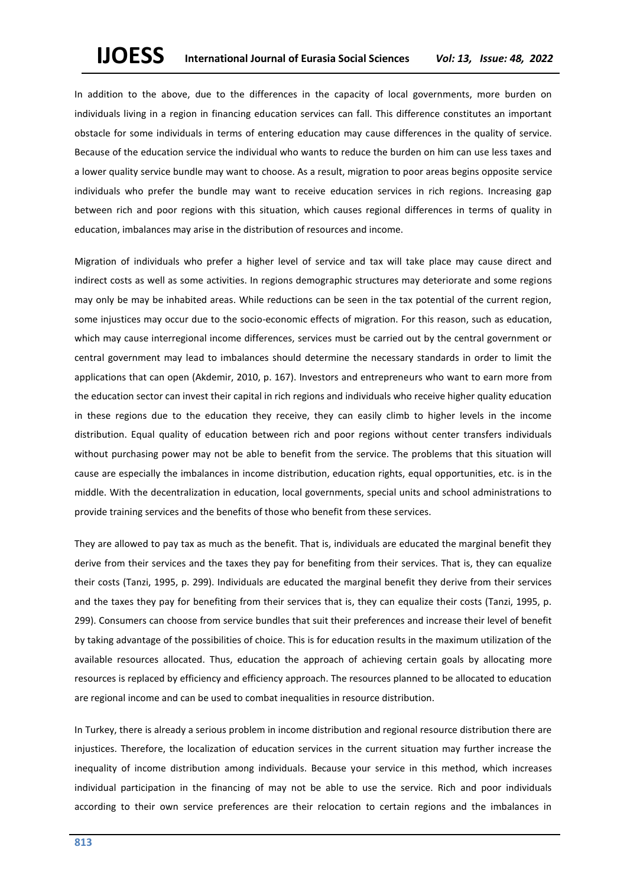In addition to the above, due to the differences in the capacity of local governments, more burden on individuals living in a region in financing education services can fall. This difference constitutes an important obstacle for some individuals in terms of entering education may cause differences in the quality of service. Because of the education service the individual who wants to reduce the burden on him can use less taxes and a lower quality service bundle may want to choose. As a result, migration to poor areas begins opposite service individuals who prefer the bundle may want to receive education services in rich regions. Increasing gap between rich and poor regions with this situation, which causes regional differences in terms of quality in education, imbalances may arise in the distribution of resources and income.

Migration of individuals who prefer a higher level of service and tax will take place may cause direct and indirect costs as well as some activities. In regions demographic structures may deteriorate and some regions may only be may be inhabited areas. While reductions can be seen in the tax potential of the current region, some injustices may occur due to the socio-economic effects of migration. For this reason, such as education, which may cause interregional income differences, services must be carried out by the central government or central government may lead to imbalances should determine the necessary standards in order to limit the applications that can open (Akdemir, 2010, p. 167). Investors and entrepreneurs who want to earn more from the education sector can invest their capital in rich regions and individuals who receive higher quality education in these regions due to the education they receive, they can easily climb to higher levels in the income distribution. Equal quality of education between rich and poor regions without center transfers individuals without purchasing power may not be able to benefit from the service. The problems that this situation will cause are especially the imbalances in income distribution, education rights, equal opportunities, etc. is in the middle. With the decentralization in education, local governments, special units and school administrations to provide training services and the benefits of those who benefit from these services.

They are allowed to pay tax as much as the benefit. That is, individuals are educated the marginal benefit they derive from their services and the taxes they pay for benefiting from their services. That is, they can equalize their costs (Tanzi, 1995, p. 299). Individuals are educated the marginal benefit they derive from their services and the taxes they pay for benefiting from their services that is, they can equalize their costs (Tanzi, 1995, p. 299). Consumers can choose from service bundles that suit their preferences and increase their level of benefit by taking advantage of the possibilities of choice. This is for education results in the maximum utilization of the available resources allocated. Thus, education the approach of achieving certain goals by allocating more resources is replaced by efficiency and efficiency approach. The resources planned to be allocated to education are regional income and can be used to combat inequalities in resource distribution.

In Turkey, there is already a serious problem in income distribution and regional resource distribution there are injustices. Therefore, the localization of education services in the current situation may further increase the inequality of income distribution among individuals. Because your service in this method, which increases individual participation in the financing of may not be able to use the service. Rich and poor individuals according to their own service preferences are their relocation to certain regions and the imbalances in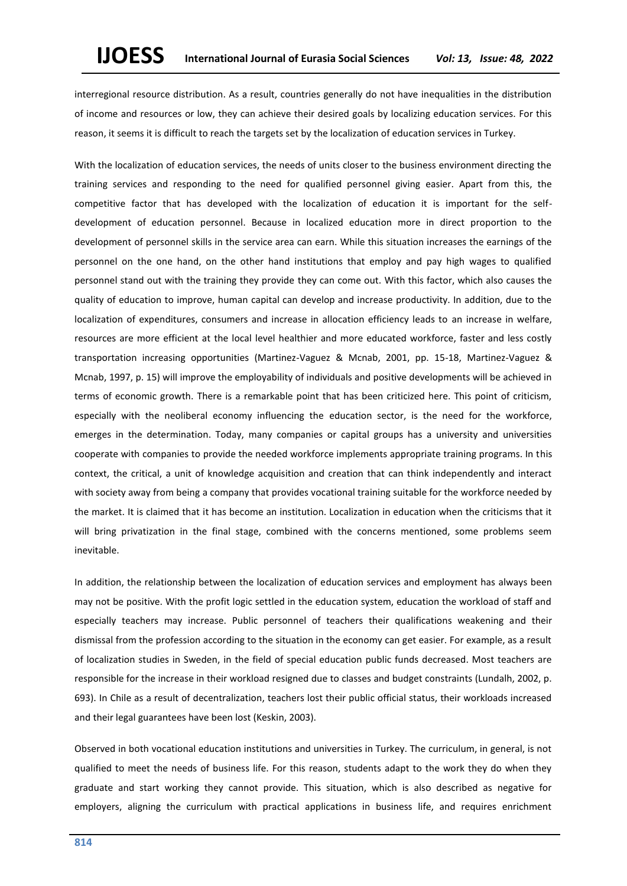interregional resource distribution. As a result, countries generally do not have inequalities in the distribution of income and resources or low, they can achieve their desired goals by localizing education services. For this reason, it seems it is difficult to reach the targets set by the localization of education services in Turkey.

With the localization of education services, the needs of units closer to the business environment directing the training services and responding to the need for qualified personnel giving easier. Apart from this, the competitive factor that has developed with the localization of education it is important for the selfdevelopment of education personnel. Because in localized education more in direct proportion to the development of personnel skills in the service area can earn. While this situation increases the earnings of the personnel on the one hand, on the other hand institutions that employ and pay high wages to qualified personnel stand out with the training they provide they can come out. With this factor, which also causes the quality of education to improve, human capital can develop and increase productivity. In addition, due to the localization of expenditures, consumers and increase in allocation efficiency leads to an increase in welfare, resources are more efficient at the local level healthier and more educated workforce, faster and less costly transportation increasing opportunities (Martinez-Vaguez & Mcnab, 2001, pp. 15-18, Martinez-Vaguez & Mcnab, 1997, p. 15) will improve the employability of individuals and positive developments will be achieved in terms of economic growth. There is a remarkable point that has been criticized here. This point of criticism, especially with the neoliberal economy influencing the education sector, is the need for the workforce, emerges in the determination. Today, many companies or capital groups has a university and universities cooperate with companies to provide the needed workforce implements appropriate training programs. In this context, the critical, a unit of knowledge acquisition and creation that can think independently and interact with society away from being a company that provides vocational training suitable for the workforce needed by the market. It is claimed that it has become an institution. Localization in education when the criticisms that it will bring privatization in the final stage, combined with the concerns mentioned, some problems seem inevitable.

In addition, the relationship between the localization of education services and employment has always been may not be positive. With the profit logic settled in the education system, education the workload of staff and especially teachers may increase. Public personnel of teachers their qualifications weakening and their dismissal from the profession according to the situation in the economy can get easier. For example, as a result of localization studies in Sweden, in the field of special education public funds decreased. Most teachers are responsible for the increase in their workload resigned due to classes and budget constraints (Lundalh, 2002, p. 693). In Chile as a result of decentralization, teachers lost their public official status, their workloads increased and their legal guarantees have been lost (Keskin, 2003).

Observed in both vocational education institutions and universities in Turkey. The curriculum, in general, is not qualified to meet the needs of business life. For this reason, students adapt to the work they do when they graduate and start working they cannot provide. This situation, which is also described as negative for employers, aligning the curriculum with practical applications in business life, and requires enrichment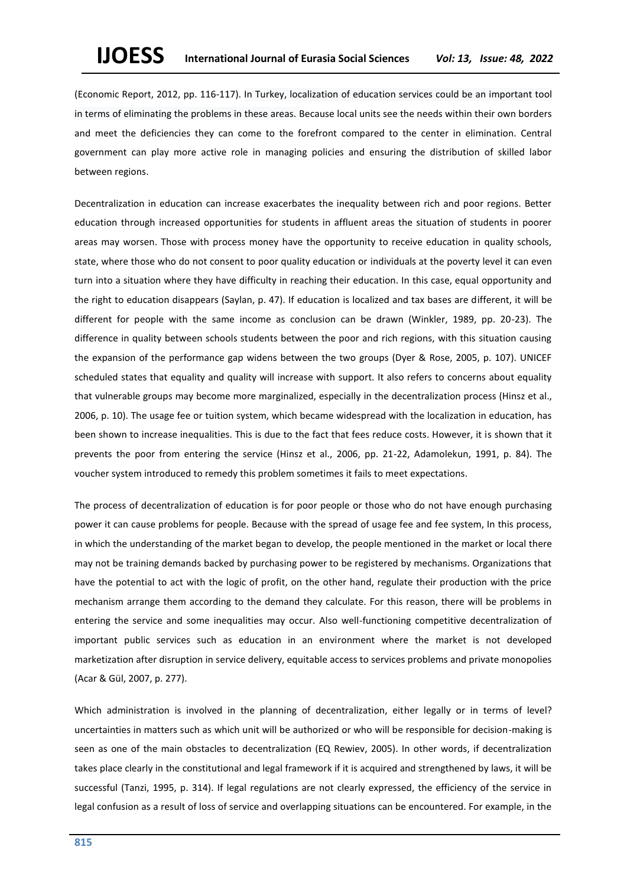(Economic Report, 2012, pp. 116-117). In Turkey, localization of education services could be an important tool in terms of eliminating the problems in these areas. Because local units see the needs within their own borders and meet the deficiencies they can come to the forefront compared to the center in elimination. Central government can play more active role in managing policies and ensuring the distribution of skilled labor between regions.

Decentralization in education can increase exacerbates the inequality between rich and poor regions. Better education through increased opportunities for students in affluent areas the situation of students in poorer areas may worsen. Those with process money have the opportunity to receive education in quality schools, state, where those who do not consent to poor quality education or individuals at the poverty level it can even turn into a situation where they have difficulty in reaching their education. In this case, equal opportunity and the right to education disappears (Saylan, p. 47). If education is localized and tax bases are different, it will be different for people with the same income as conclusion can be drawn (Winkler, 1989, pp. 20-23). The difference in quality between schools students between the poor and rich regions, with this situation causing the expansion of the performance gap widens between the two groups (Dyer & Rose, 2005, p. 107). UNICEF scheduled states that equality and quality will increase with support. It also refers to concerns about equality that vulnerable groups may become more marginalized, especially in the decentralization process (Hinsz et al., 2006, p. 10). The usage fee or tuition system, which became widespread with the localization in education, has been shown to increase inequalities. This is due to the fact that fees reduce costs. However, it is shown that it prevents the poor from entering the service (Hinsz et al., 2006, pp. 21-22, Adamolekun, 1991, p. 84). The voucher system introduced to remedy this problem sometimes it fails to meet expectations.

The process of decentralization of education is for poor people or those who do not have enough purchasing power it can cause problems for people. Because with the spread of usage fee and fee system, In this process, in which the understanding of the market began to develop, the people mentioned in the market or local there may not be training demands backed by purchasing power to be registered by mechanisms. Organizations that have the potential to act with the logic of profit, on the other hand, regulate their production with the price mechanism arrange them according to the demand they calculate. For this reason, there will be problems in entering the service and some inequalities may occur. Also well-functioning competitive decentralization of important public services such as education in an environment where the market is not developed marketization after disruption in service delivery, equitable access to services problems and private monopolies (Acar & Gül, 2007, p. 277).

Which administration is involved in the planning of decentralization, either legally or in terms of level? uncertainties in matters such as which unit will be authorized or who will be responsible for decision-making is seen as one of the main obstacles to decentralization (EQ Rewiev, 2005). In other words, if decentralization takes place clearly in the constitutional and legal framework if it is acquired and strengthened by laws, it will be successful (Tanzi, 1995, p. 314). If legal regulations are not clearly expressed, the efficiency of the service in legal confusion as a result of loss of service and overlapping situations can be encountered. For example, in the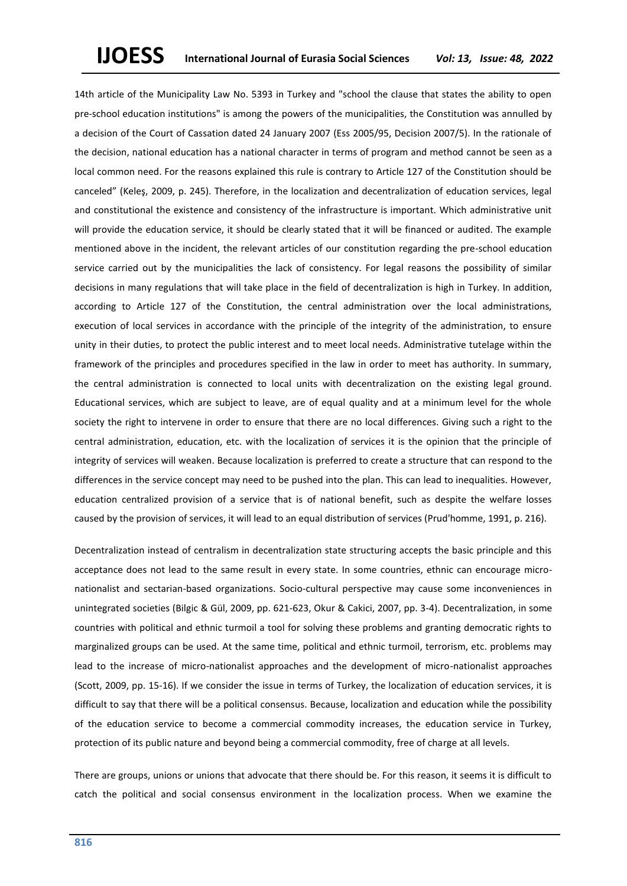14th article of the Municipality Law No. 5393 in Turkey and "school the clause that states the ability to open pre-school education institutions" is among the powers of the municipalities, the Constitution was annulled by a decision of the Court of Cassation dated 24 January 2007 (Ess 2005/95, Decision 2007/5). In the rationale of the decision, national education has a national character in terms of program and method cannot be seen as a local common need. For the reasons explained this rule is contrary to Article 127 of the Constitution should be canceled" (Keleş, 2009, p. 245). Therefore, in the localization and decentralization of education services, legal and constitutional the existence and consistency of the infrastructure is important. Which administrative unit will provide the education service, it should be clearly stated that it will be financed or audited. The example mentioned above in the incident, the relevant articles of our constitution regarding the pre-school education service carried out by the municipalities the lack of consistency. For legal reasons the possibility of similar decisions in many regulations that will take place in the field of decentralization is high in Turkey. In addition, according to Article 127 of the Constitution, the central administration over the local administrations, execution of local services in accordance with the principle of the integrity of the administration, to ensure unity in their duties, to protect the public interest and to meet local needs. Administrative tutelage within the framework of the principles and procedures specified in the law in order to meet has authority. In summary, the central administration is connected to local units with decentralization on the existing legal ground. Educational services, which are subject to leave, are of equal quality and at a minimum level for the whole society the right to intervene in order to ensure that there are no local differences. Giving such a right to the central administration, education, etc. with the localization of services it is the opinion that the principle of integrity of services will weaken. Because localization is preferred to create a structure that can respond to the differences in the service concept may need to be pushed into the plan. This can lead to inequalities. However, education centralized provision of a service that is of national benefit, such as despite the welfare losses caused by the provision of services, it will lead to an equal distribution of services (Prud'homme, 1991, p. 216).

Decentralization instead of centralism in decentralization state structuring accepts the basic principle and this acceptance does not lead to the same result in every state. In some countries, ethnic can encourage micronationalist and sectarian-based organizations. Socio-cultural perspective may cause some inconveniences in unintegrated societies (Bilgic & Gül, 2009, pp. 621-623, Okur & Cakici, 2007, pp. 3-4). Decentralization, in some countries with political and ethnic turmoil a tool for solving these problems and granting democratic rights to marginalized groups can be used. At the same time, political and ethnic turmoil, terrorism, etc. problems may lead to the increase of micro-nationalist approaches and the development of micro-nationalist approaches (Scott, 2009, pp. 15-16). If we consider the issue in terms of Turkey, the localization of education services, it is difficult to say that there will be a political consensus. Because, localization and education while the possibility of the education service to become a commercial commodity increases, the education service in Turkey, protection of its public nature and beyond being a commercial commodity, free of charge at all levels.

There are groups, unions or unions that advocate that there should be. For this reason, it seems it is difficult to catch the political and social consensus environment in the localization process. When we examine the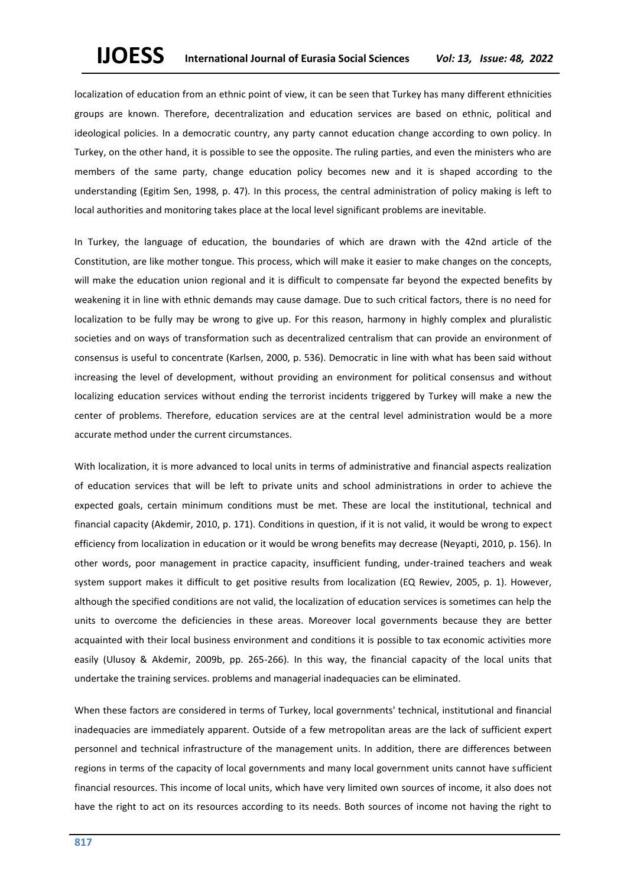localization of education from an ethnic point of view, it can be seen that Turkey has many different ethnicities groups are known. Therefore, decentralization and education services are based on ethnic, political and ideological policies. In a democratic country, any party cannot education change according to own policy. In Turkey, on the other hand, it is possible to see the opposite. The ruling parties, and even the ministers who are members of the same party, change education policy becomes new and it is shaped according to the understanding (Egitim Sen, 1998, p. 47). In this process, the central administration of policy making is left to local authorities and monitoring takes place at the local level significant problems are inevitable.

In Turkey, the language of education, the boundaries of which are drawn with the 42nd article of the Constitution, are like mother tongue. This process, which will make it easier to make changes on the concepts, will make the education union regional and it is difficult to compensate far beyond the expected benefits by weakening it in line with ethnic demands may cause damage. Due to such critical factors, there is no need for localization to be fully may be wrong to give up. For this reason, harmony in highly complex and pluralistic societies and on ways of transformation such as decentralized centralism that can provide an environment of consensus is useful to concentrate (Karlsen, 2000, p. 536). Democratic in line with what has been said without increasing the level of development, without providing an environment for political consensus and without localizing education services without ending the terrorist incidents triggered by Turkey will make a new the center of problems. Therefore, education services are at the central level administration would be a more accurate method under the current circumstances.

With localization, it is more advanced to local units in terms of administrative and financial aspects realization of education services that will be left to private units and school administrations in order to achieve the expected goals, certain minimum conditions must be met. These are local the institutional, technical and financial capacity (Akdemir, 2010, p. 171). Conditions in question, if it is not valid, it would be wrong to expect efficiency from localization in education or it would be wrong benefits may decrease (Neyapti, 2010, p. 156). In other words, poor management in practice capacity, insufficient funding, under-trained teachers and weak system support makes it difficult to get positive results from localization (EQ Rewiev, 2005, p. 1). However, although the specified conditions are not valid, the localization of education services is sometimes can help the units to overcome the deficiencies in these areas. Moreover local governments because they are better acquainted with their local business environment and conditions it is possible to tax economic activities more easily (Ulusoy & Akdemir, 2009b, pp. 265-266). In this way, the financial capacity of the local units that undertake the training services. problems and managerial inadequacies can be eliminated.

When these factors are considered in terms of Turkey, local governments' technical, institutional and financial inadequacies are immediately apparent. Outside of a few metropolitan areas are the lack of sufficient expert personnel and technical infrastructure of the management units. In addition, there are differences between regions in terms of the capacity of local governments and many local government units cannot have sufficient financial resources. This income of local units, which have very limited own sources of income, it also does not have the right to act on its resources according to its needs. Both sources of income not having the right to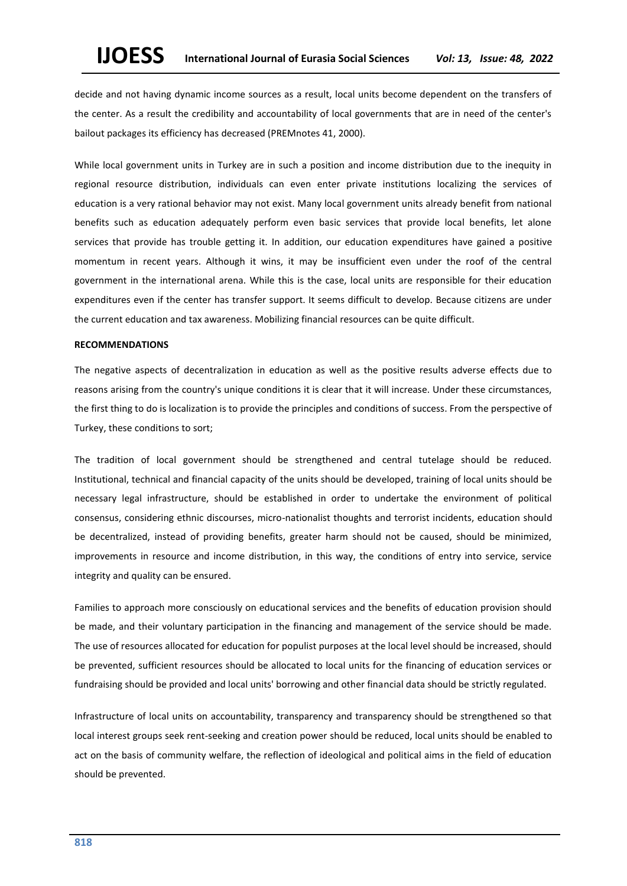decide and not having dynamic income sources as a result, local units become dependent on the transfers of the center. As a result the credibility and accountability of local governments that are in need of the center's bailout packages its efficiency has decreased (PREMnotes 41, 2000).

While local government units in Turkey are in such a position and income distribution due to the inequity in regional resource distribution, individuals can even enter private institutions localizing the services of education is a very rational behavior may not exist. Many local government units already benefit from national benefits such as education adequately perform even basic services that provide local benefits, let alone services that provide has trouble getting it. In addition, our education expenditures have gained a positive momentum in recent years. Although it wins, it may be insufficient even under the roof of the central government in the international arena. While this is the case, local units are responsible for their education expenditures even if the center has transfer support. It seems difficult to develop. Because citizens are under the current education and tax awareness. Mobilizing financial resources can be quite difficult.

#### **RECOMMENDATIONS**

The negative aspects of decentralization in education as well as the positive results adverse effects due to reasons arising from the country's unique conditions it is clear that it will increase. Under these circumstances, the first thing to do is localization is to provide the principles and conditions of success. From the perspective of Turkey, these conditions to sort;

The tradition of local government should be strengthened and central tutelage should be reduced. Institutional, technical and financial capacity of the units should be developed, training of local units should be necessary legal infrastructure, should be established in order to undertake the environment of political consensus, considering ethnic discourses, micro-nationalist thoughts and terrorist incidents, education should be decentralized, instead of providing benefits, greater harm should not be caused, should be minimized, improvements in resource and income distribution, in this way, the conditions of entry into service, service integrity and quality can be ensured.

Families to approach more consciously on educational services and the benefits of education provision should be made, and their voluntary participation in the financing and management of the service should be made. The use of resources allocated for education for populist purposes at the local level should be increased, should be prevented, sufficient resources should be allocated to local units for the financing of education services or fundraising should be provided and local units' borrowing and other financial data should be strictly regulated.

Infrastructure of local units on accountability, transparency and transparency should be strengthened so that local interest groups seek rent-seeking and creation power should be reduced, local units should be enabled to act on the basis of community welfare, the reflection of ideological and political aims in the field of education should be prevented.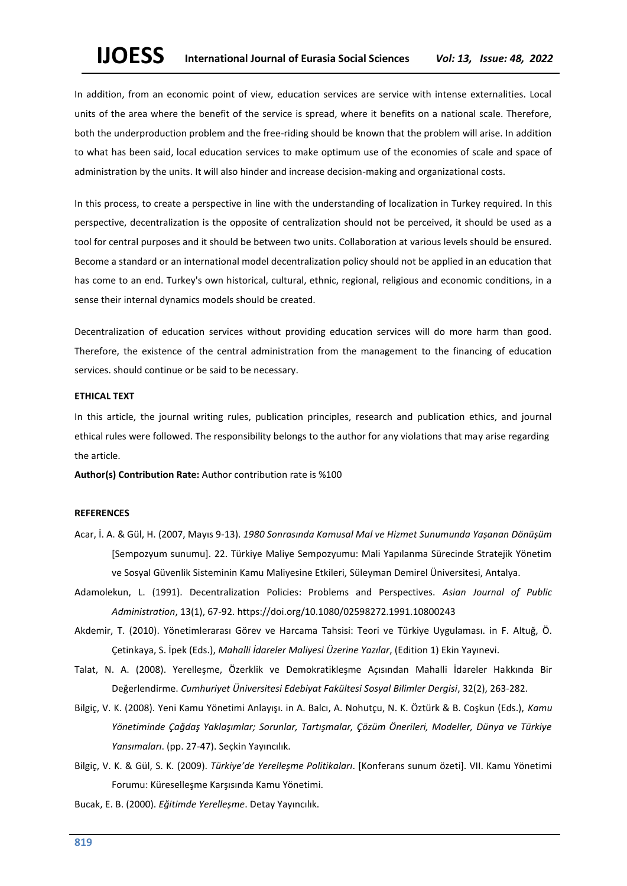In addition, from an economic point of view, education services are service with intense externalities. Local units of the area where the benefit of the service is spread, where it benefits on a national scale. Therefore, both the underproduction problem and the free-riding should be known that the problem will arise. In addition to what has been said, local education services to make optimum use of the economies of scale and space of administration by the units. It will also hinder and increase decision-making and organizational costs.

In this process, to create a perspective in line with the understanding of localization in Turkey required. In this perspective, decentralization is the opposite of centralization should not be perceived, it should be used as a tool for central purposes and it should be between two units. Collaboration at various levels should be ensured. Become a standard or an international model decentralization policy should not be applied in an education that has come to an end. Turkey's own historical, cultural, ethnic, regional, religious and economic conditions, in a sense their internal dynamics models should be created.

Decentralization of education services without providing education services will do more harm than good. Therefore, the existence of the central administration from the management to the financing of education services. should continue or be said to be necessary.

## **ETHICAL TEXT**

In this article, the journal writing rules, publication principles, research and publication ethics, and journal ethical rules were followed. The responsibility belongs to the author for any violations that may arise regarding the article.

**Author(s) Contribution Rate:** Author contribution rate is %100

## **REFERENCES**

- Acar, İ. A. & Gül, H. (2007, Mayıs 9-13). *1980 Sonrasında Kamusal Mal ve Hizmet Sunumunda Yaşanan Dönüşüm* [Sempozyum sunumu]. 22. Türkiye Maliye Sempozyumu: Mali Yapılanma Sürecinde Stratejik Yönetim ve Sosyal Güvenlik Sisteminin Kamu Maliyesine Etkileri, Süleyman Demirel Üniversitesi, Antalya.
- Adamolekun, L. (1991). Decentralization Policies: Problems and Perspectives. *Asian Journal of Public Administration*, 13(1), 67-92. https://doi.org/10.1080/02598272.1991.10800243
- Akdemir, T. (2010). Yönetimlerarası Görev ve Harcama Tahsisi: Teori ve Türkiye Uygulaması. in F. Altuğ, Ö. Çetinkaya, S. İpek (Eds.), *Mahalli İdareler Maliyesi Üzerine Yazılar*, (Edition 1) Ekin Yayınevi.
- Talat, N. A. (2008). Yerelleşme, Özerklik ve Demokratikleşme Açısından Mahalli İdareler Hakkında Bir Değerlendirme. *Cumhuriyet Üniversitesi Edebiyat Fakültesi Sosyal Bilimler Dergisi*, 32(2), 263-282.
- Bilgiç, V. K. (2008). Yeni Kamu Yönetimi Anlayışı. in A. Balcı, A. Nohutçu, N. K. Öztürk & B. Coşkun (Eds.), *Kamu Yönetiminde Çağdaş Yaklaşımlar; Sorunlar, Tartışmalar, Çözüm Önerileri, Modeller, Dünya ve Türkiye Yansımaları*. (pp. 27-47). Seçkin Yayıncılık.
- Bilgiç, V. K. & Gül, S. K. (2009). *Türkiye'de Yerelleşme Politikaları*. [Konferans sunum özeti]. VII. Kamu Yönetimi Forumu: Küreselleşme Karşısında Kamu Yönetimi.
- Bucak, E. B. (2000). *Eğitimde Yerelleşme*. Detay Yayıncılık.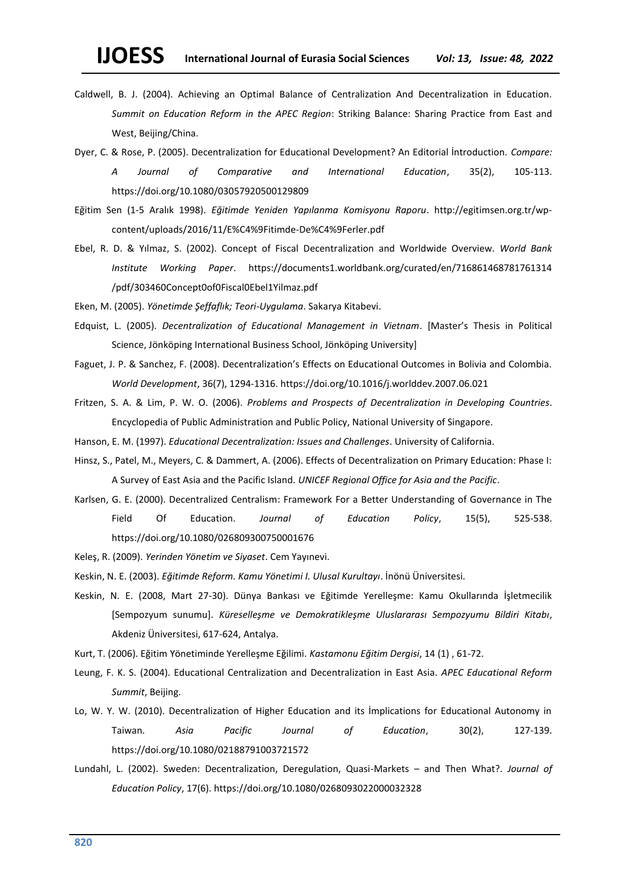- Caldwell, B. J. (2004). Achieving an Optimal Balance of Centralization And Decentralization in Education. *Summit on Education Reform in the APEC Region*: Striking Balance: Sharing Practice from East and West, Beijing/China.
- Dyer, C. & Rose, P. (2005). Decentralization for Educational Development? An Editorial İntroduction. *Compare: A Journal of Comparative and International Education*, 35(2), 105-113. https://doi.org/10.1080/03057920500129809
- Eğitim Sen (1-5 Aralık 1998). *Eğitimde Yeniden Yapılanma Komisyonu Raporu*. [http://egitimsen.org.tr/wp](about:blank)[content/uploads/2016/11/E%C4%9Fitimde-De%C4%9Ferler.pdf](about:blank)
- Ebel, R. D. & Yılmaz, S. (2002). Concept of Fiscal Decentralization and Worldwide Overview. *World Bank Institute Working Paper*. <https://documents1.worldbank.org/curated/en/716861468781761314> /pdf/303460Concept0of0Fiscal0Ebel1Yilmaz.pdf
- Eken, M. (2005). *Yönetimde Şeffaflık; Teori-Uygulama*. Sakarya Kitabevi.
- Edquist, L. (2005). *Decentralization of Educational Management in Vietnam*. [Master's Thesis in Political Science, Jönköping International Business School, Jönköping University]
- Faguet, J. P. & Sanchez, F. (2008). Decentralization's Effects on Educational Outcomes in Bolivia and Colombia. *World Development*, 36(7), 1294-1316. https://doi.org/10.1016/j.worlddev.2007.06.021
- Fritzen, S. A. & Lim, P. W. O. (2006). *Problems and Prospects of Decentralization in Developing Countries*. Encyclopedia of Public Administration and Public Policy, National University of Singapore.
- Hanson, E. M. (1997). *Educational Decentralization: Issues and Challenges*. University of California.
- Hinsz, S., Patel, M., Meyers, C. & Dammert, A. (2006). Effects of Decentralization on Primary Education: Phase I: A Survey of East Asia and the Pacific Island. *UNICEF Regional Office for Asia and the Pacific*.
- Karlsen, G. E. (2000). Decentralized Centralism: Framework For a Better Understanding of Governance in The Field Of Education. *Journal of Education Policy*, 15(5), 525-538. https://doi.org/10.1080/026809300750001676
- Keleş, R. (2009). *Yerinden Yönetim ve Siyaset*. Cem Yayınevi.
- Keskin, N. E. (2003). *Eğitimde Reform. Kamu Yönetimi I. Ulusal Kurultayı*. İnönü Üniversitesi*.*
- Keskin, N. E. (2008, Mart 27-30). Dünya Bankası ve Eğitimde Yerelleşme: Kamu Okullarında İşletmecilik [Sempozyum sunumu]. *Küreselleşme ve Demokratikleşme Uluslararası Sempozyumu Bildiri Kitabı*, Akdeniz Üniversitesi, 617-624, Antalya.
- Kurt, T. (2006). Eğitim Yönetiminde Yerelleşme Eğilimi. *Kastamonu Eğitim Dergisi*, 14 (1) , 61-72.
- Leung, F. K. S. (2004). Educational Centralization and Decentralization in East Asia. *APEC Educational Reform Summit*, Beijing.
- Lo, W. Y. W. (2010). Decentralization of Higher Education and its İmplications for Educational Autonomy in Taiwan. *Asia Pacific Journal of Education*, 30(2), 127-139. https://doi.org/10.1080/02188791003721572
- Lundahl, L. (2002). Sweden: Decentralization, Deregulation, Quasi-Markets and Then What?. *Journal of Education Policy*, 17(6). [https://doi.org/10.1080/0268093022000032328](about:blank)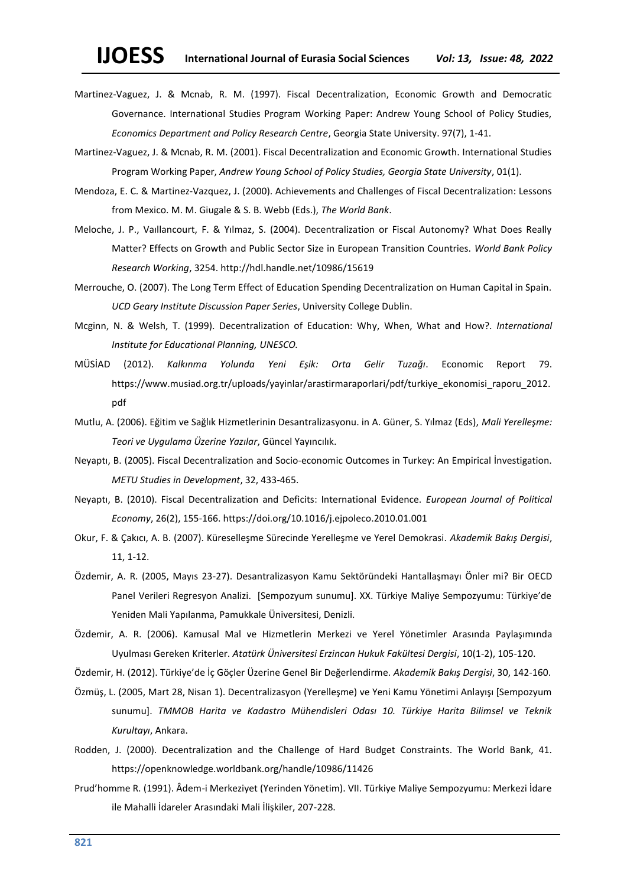- Martinez-Vaguez, J. & Mcnab, R. M. (1997). Fiscal Decentralization, Economic Growth and Democratic Governance. International Studies Program Working Paper: Andrew Young School of Policy Studies, *Economics Department and Policy Research Centre*, Georgia State University. 97(7), 1-41.
- Martinez-Vaguez, J. & Mcnab, R. M. (2001). Fiscal Decentralization and Economic Growth. International Studies Program Working Paper, *Andrew Young School of Policy Studies, Georgia State University*, 01(1).
- Mendoza, E. C. & Martinez-Vazquez, J. (2000). Achievements and Challenges of Fiscal Decentralization: Lessons from Mexico. M. M. Giugale & S. B. Webb (Eds.), *The World Bank*.
- Meloche, J. P., Vaıllancourt, F. & Yılmaz, S. (2004). Decentralization or Fiscal Autonomy? What Does Really Matter? Effects on Growth and Public Sector Size in European Transition Countries. *World Bank Policy Research Working*, 3254. http://hdl.handle.net/10986/15619
- Merrouche, O. (2007). The Long Term Effect of Education Spending Decentralization on Human Capital in Spain. *UCD Geary Institute Discussion Paper Series*, University College Dublin.
- Mcginn, N. & Welsh, T. (1999). Decentralization of Education: Why, When, What and How?. *International Institute for Educational Planning, UNESCO.*
- MÜSİAD (2012). *Kalkınma Yolunda Yeni Eşik: Orta Gelir Tuzağı*. Economic Report 79. [https://www.musiad.org.tr/uploads/yayinlar/arastirmaraporlari/pdf/turkiye\\_ekonomisi\\_raporu\\_2012.](https://www.musiad.org.tr/uploads/yayinlar/arastirmaraporlari/pdf/turkiye_ekonomisi_raporu_2012.pd) [pdf](https://www.musiad.org.tr/uploads/yayinlar/arastirmaraporlari/pdf/turkiye_ekonomisi_raporu_2012.pd)
- Mutlu, A. (2006). Eğitim ve Sağlık Hizmetlerinin Desantralizasyonu. in A. Güner, S. Yılmaz (Eds), *Mali Yerelleşme: Teori ve Uygulama Üzerine Yazılar*, Güncel Yayıncılık.
- Neyaptı, B. (2005). Fiscal Decentralization and Socio-economic Outcomes in Turkey: An Empirical İnvestigation. *METU Studies in Development*, 32, 433-465.
- Neyaptı, B. (2010). Fiscal Decentralization and Deficits: International Evidence. *European Journal of Political Economy*, 26(2), 155-166. https://doi.org/10.1016/j.ejpoleco.2010.01.001
- Okur, F. & Çakıcı, A. B. (2007). Küreselleşme Sürecinde Yerelleşme ve Yerel Demokrasi. *Akademik Bakış Dergisi*, 11, 1-12.
- Özdemir, A. R. (2005, Mayıs 23-27). Desantralizasyon Kamu Sektöründeki Hantallaşmayı Önler mi? Bir OECD Panel Verileri Regresyon Analizi. [Sempozyum sunumu]. XX. Türkiye Maliye Sempozyumu: Türkiye'de Yeniden Mali Yapılanma, Pamukkale Üniversitesi, Denizli.
- Özdemir, A. R. (2006). Kamusal Mal ve Hizmetlerin Merkezi ve Yerel Yönetimler Arasında Paylaşımında Uyulması Gereken Kriterler. *Atatürk Üniversitesi Erzincan Hukuk Fakültesi Dergisi*, 10(1-2), 105-120.
- Özdemir, H. (2012). Türkiye'de İç Göçler Üzerine Genel Bir Değerlendirme. *Akademik Bakış Dergisi*, 30, 142-160.
- Özmüş, L. (2005, Mart 28, Nisan 1). Decentralizasyon (Yerelleşme) ve Yeni Kamu Yönetimi Anlayışı [Sempozyum sunumu]. *TMMOB Harita ve Kadastro Mühendisleri Odası 10. Türkiye Harita Bilimsel ve Teknik Kurultayı*, Ankara.
- Rodden, J. (2000). Decentralization and the Challenge of Hard Budget Constraints. The World Bank, 41. https://openknowledge.worldbank.org/handle/10986/11426
- Prud'homme R. (1991). Âdem-i Merkeziyet (Yerinden Yönetim). VII. Türkiye Maliye Sempozyumu: Merkezi İdare ile Mahalli İdareler Arasındaki Mali İlişkiler, 207-228.